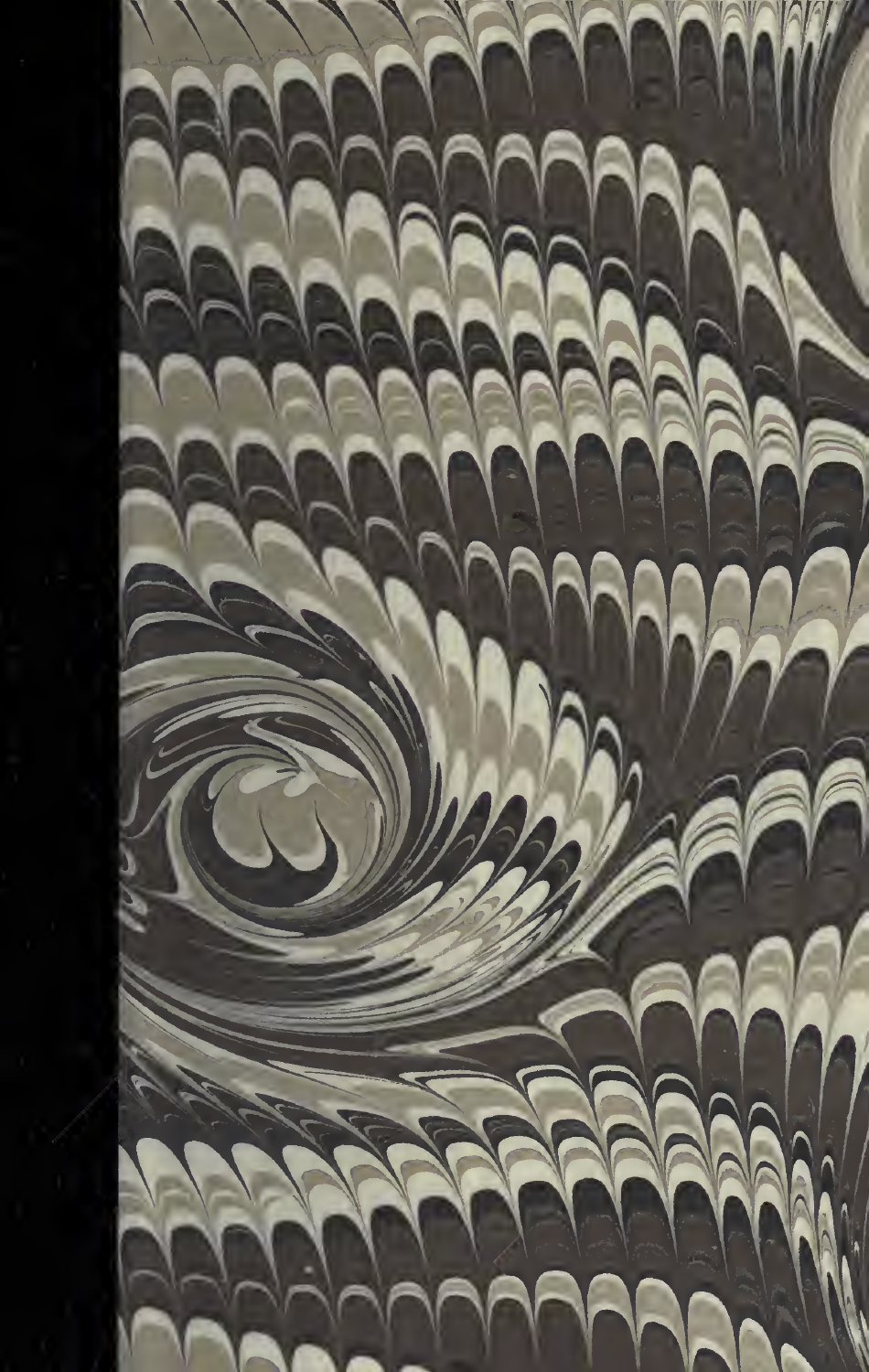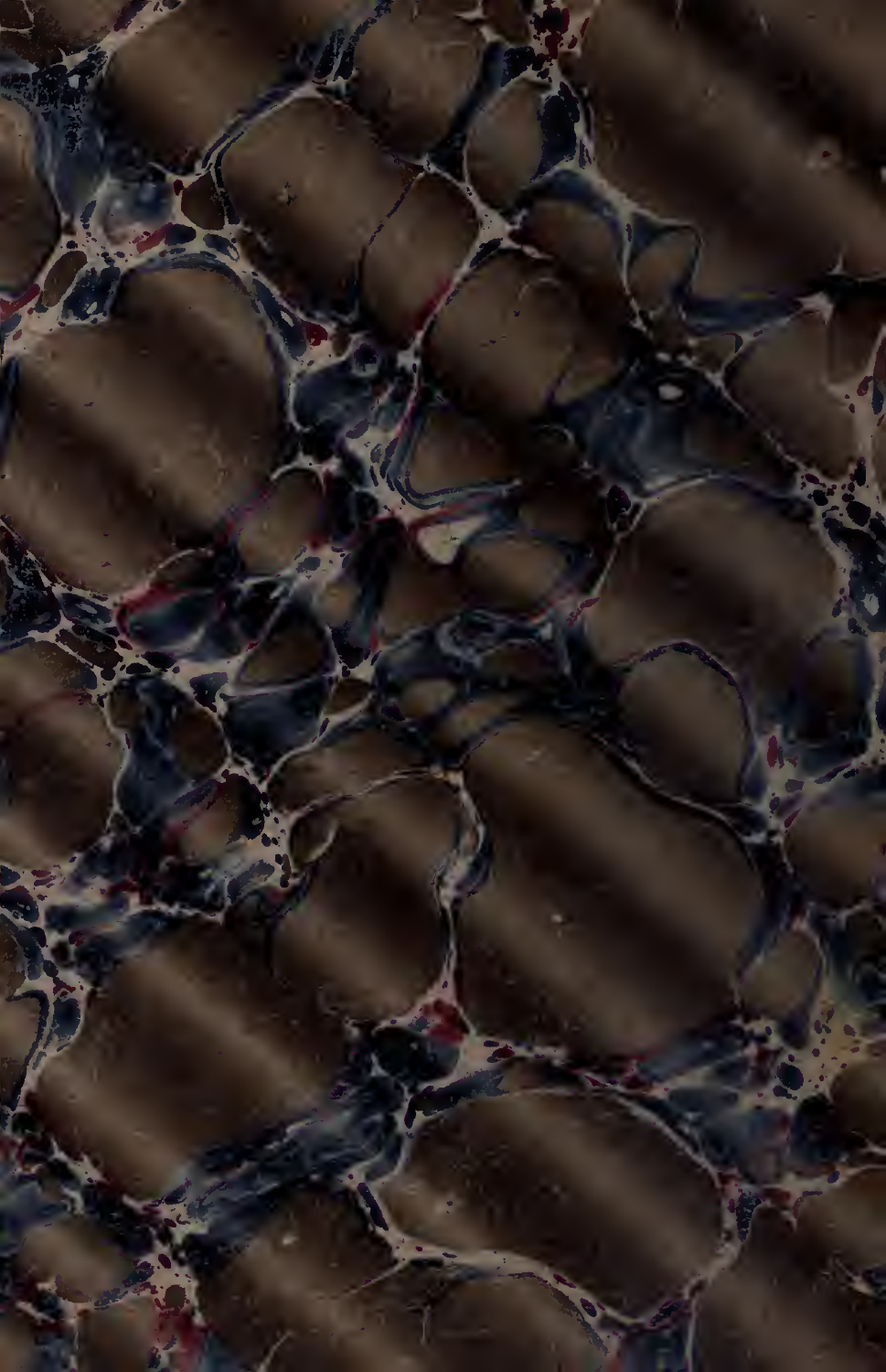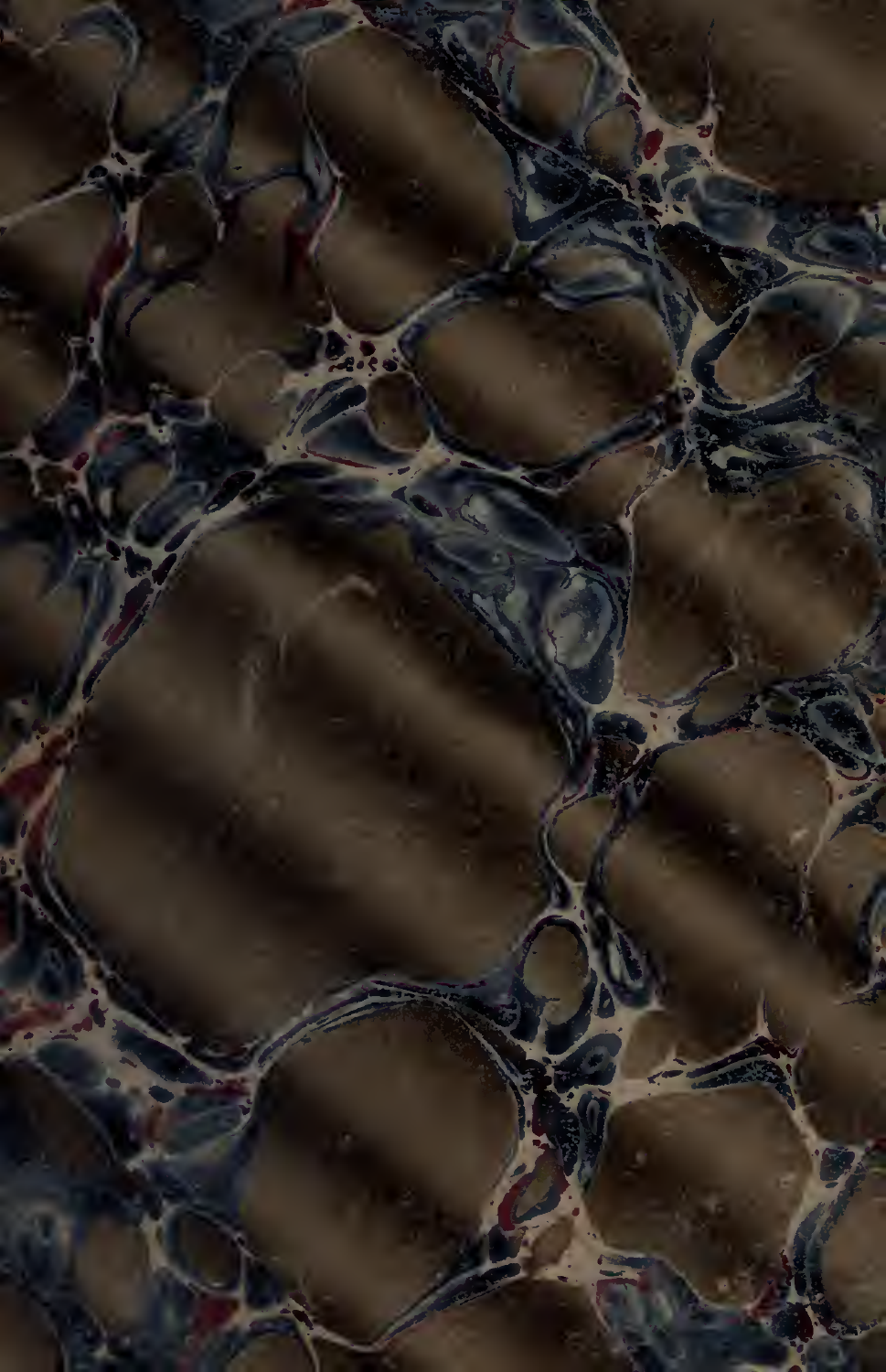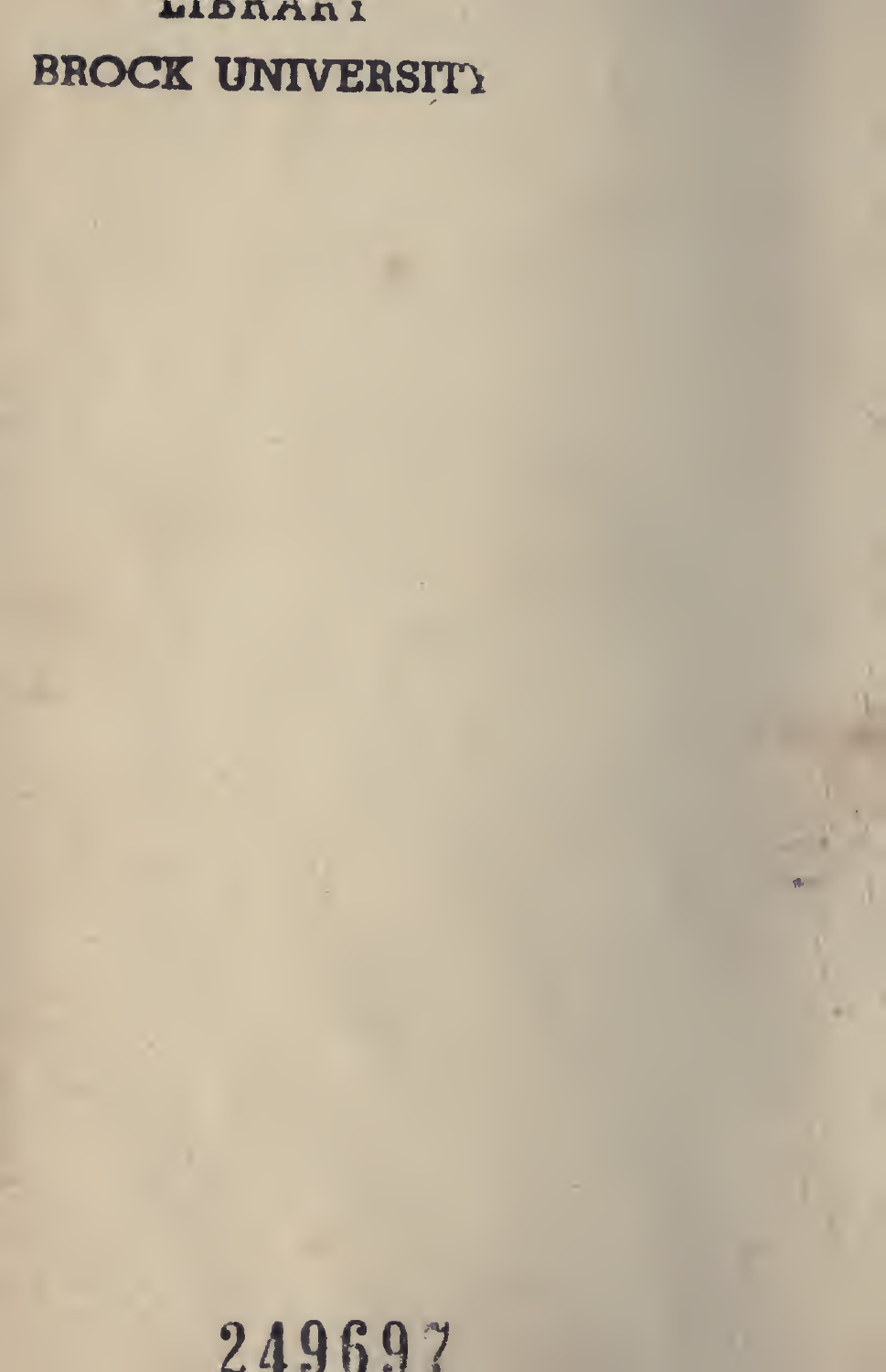#### **TIDUVUI** BROCK UNIVERSITY

## 249697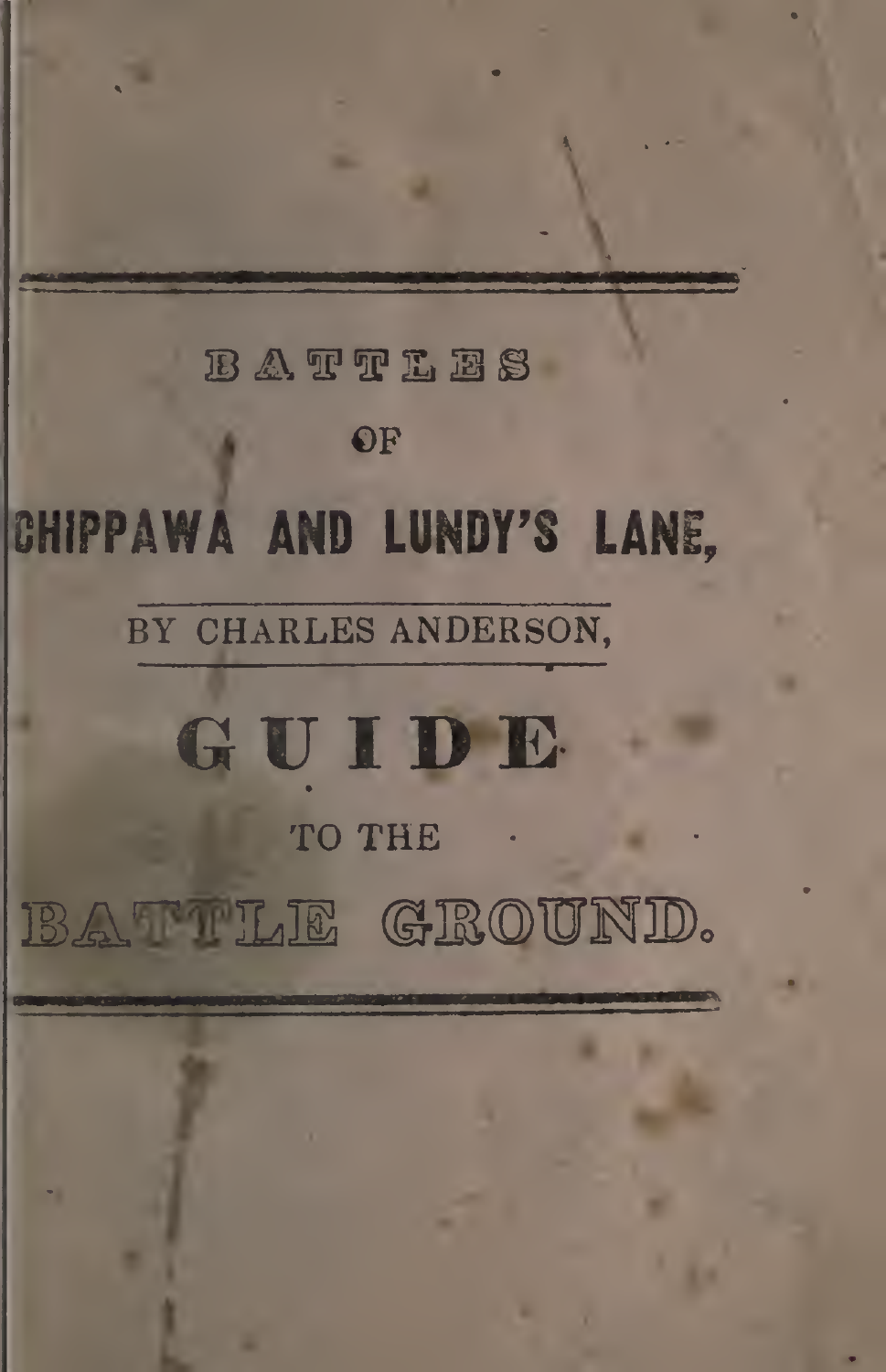# BATTLES OF CHIPPAWA AND LUNDY'S LANE. BY CHARLES ANDERSON, GUIDE TO THE BATTLE GROUND.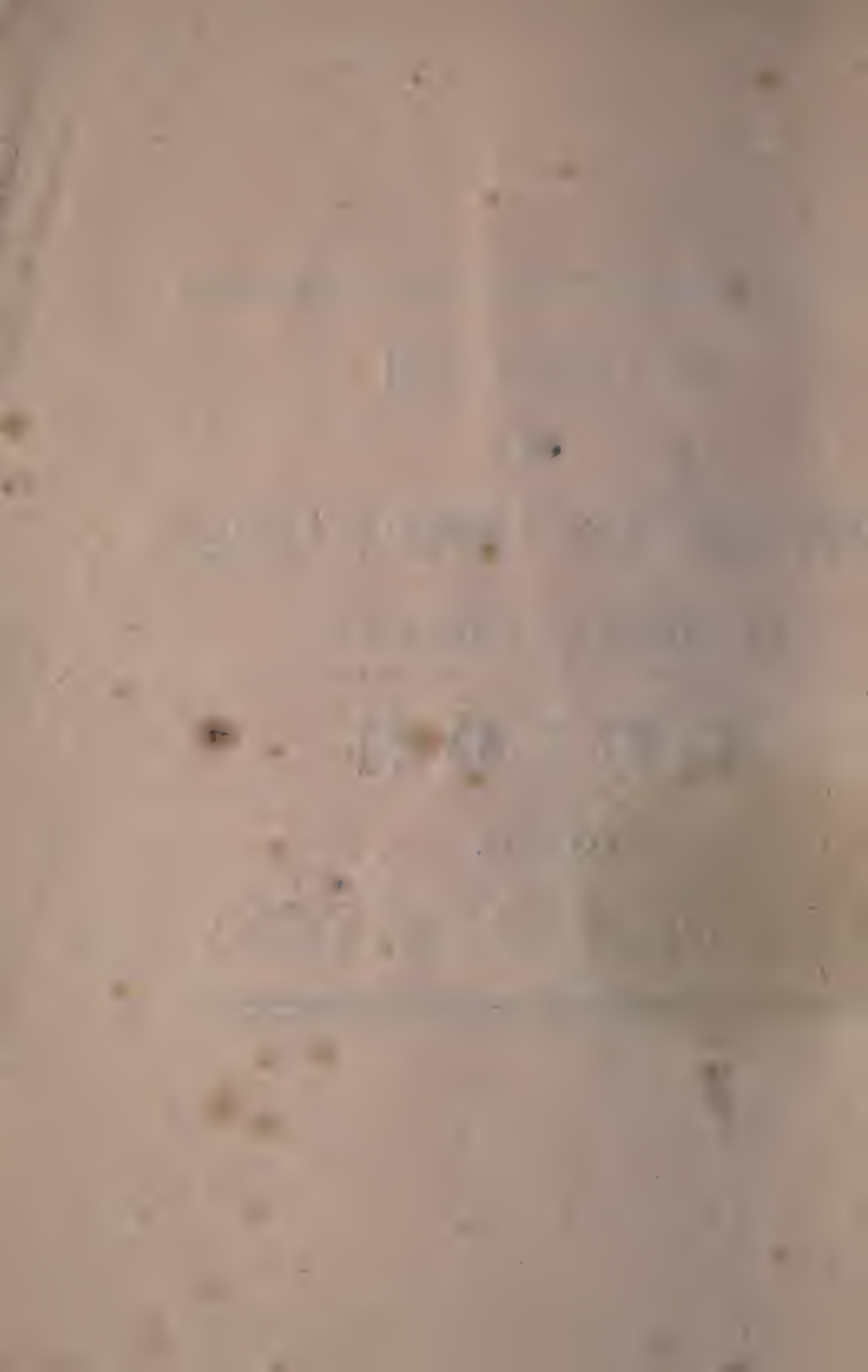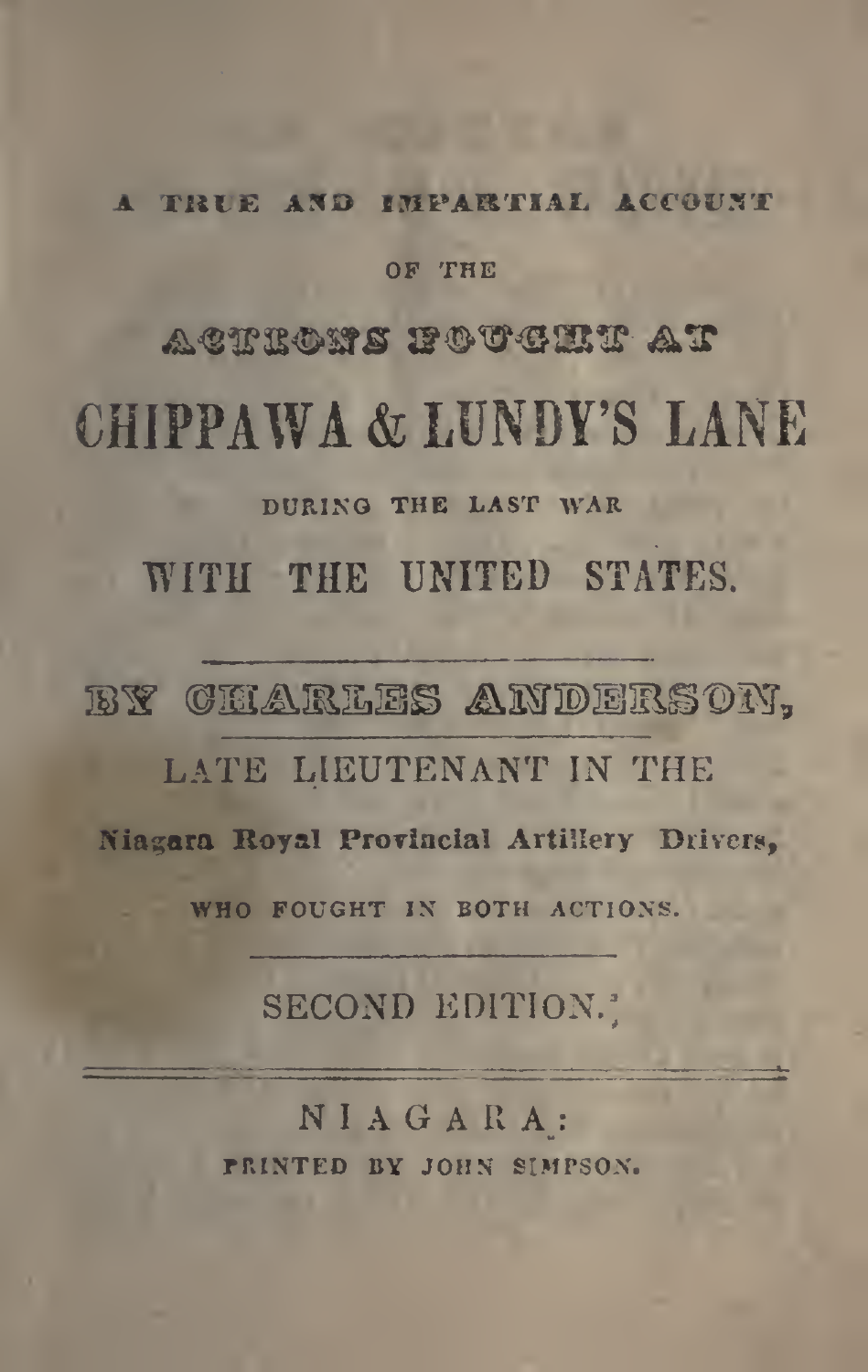**ENDARTIAL ACCO SWED NI 15** OF THE

A CIPROSTS FOUGHLY AT CHIPPAWA & LUNDY'S LANE DURING THE LAST WAR WITH THE UNITED STATES. BY CHARLES ANDERSON. LATE LIEUTENANT IN THE Niagara Royal Provincial Artillery Drivers. WHO FOUGHT IN BOTH ACTIONS.

**SECOND EDITION.** 

NIAGARA: PRINTED BY JOHN SIMPSON.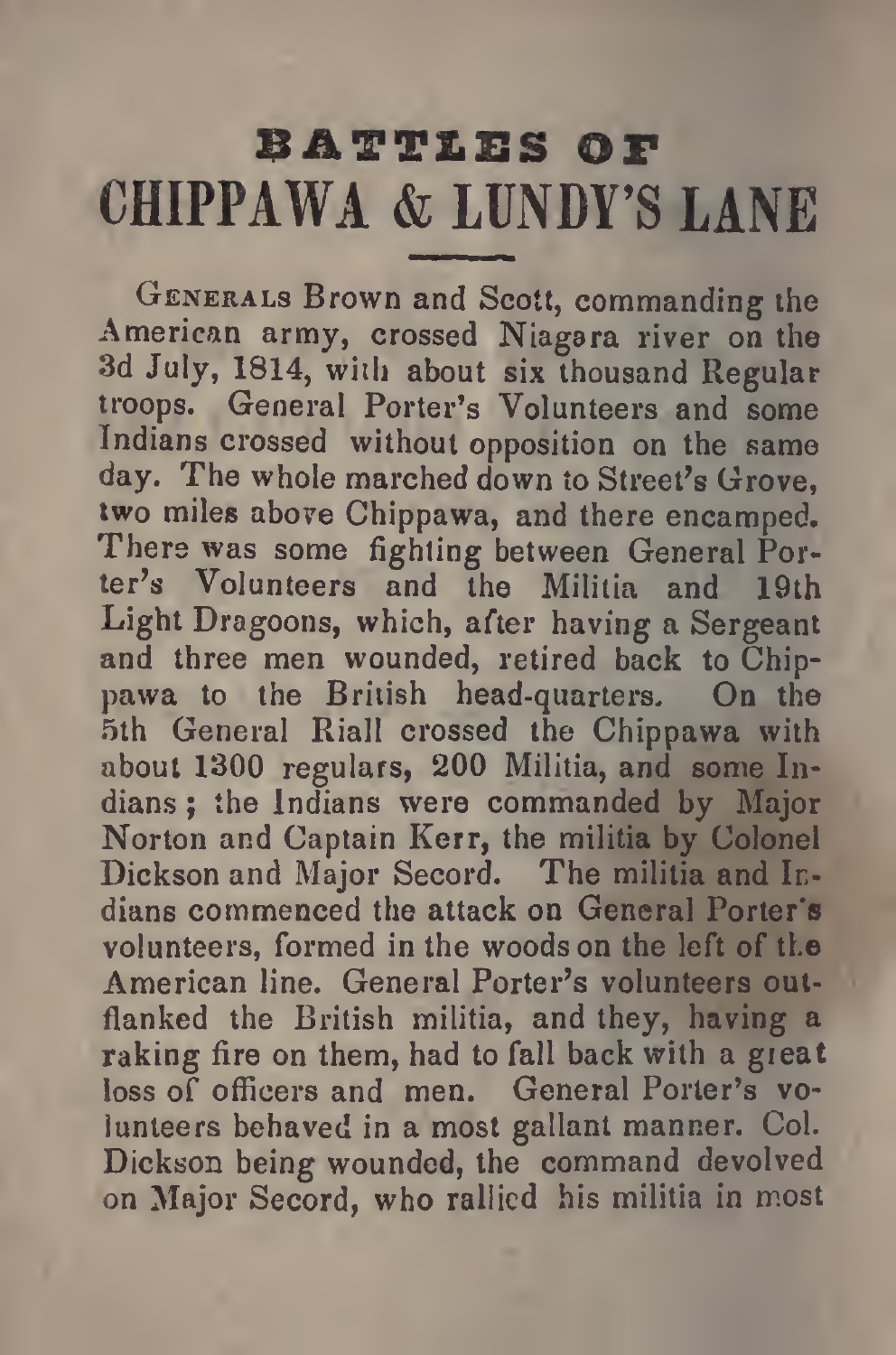## SATT£BS or CHIPPAWA & LUNDY'S LANE

Generals Brown and Scott, commanding ihe American army, crossed Niagara river on the 3d July, 1814, wiili about six thousand Regular troops. General Porter's Volunteers and some Indians crossed without opposition on the same day. The whole marched down to Street's Grove, two miles above Chippawa, and there encamped. There was some fighting between General Porter's Volunteers and the Militia and 19th Light Dragoons, which, after having a Sergeant and three men wounded, retired back to Chip-<br>pawa to the British head-quarters. On the pawa to the British head-quarters. .5th General Riall crossed the Chippawa with about 1300 regulars, 200 Militia, and some In dians ; the Indians were commanded by Major Norton and Captain Kerr, the militia by Colonel Dickson and Major Secord. The militia and In dians commenced the attack on General Porter's volunteers, formed in the woods on the left of the American line. General Porter's volunteers out flanked the British militia, and they, having a raking fire on them, had to fall back with a gieat loss of officers and men. General Porter's volunteers behaved in a most gallant manner. Col. Dickson being wounded, the command devolved on Major Secord, who rallied his militia in most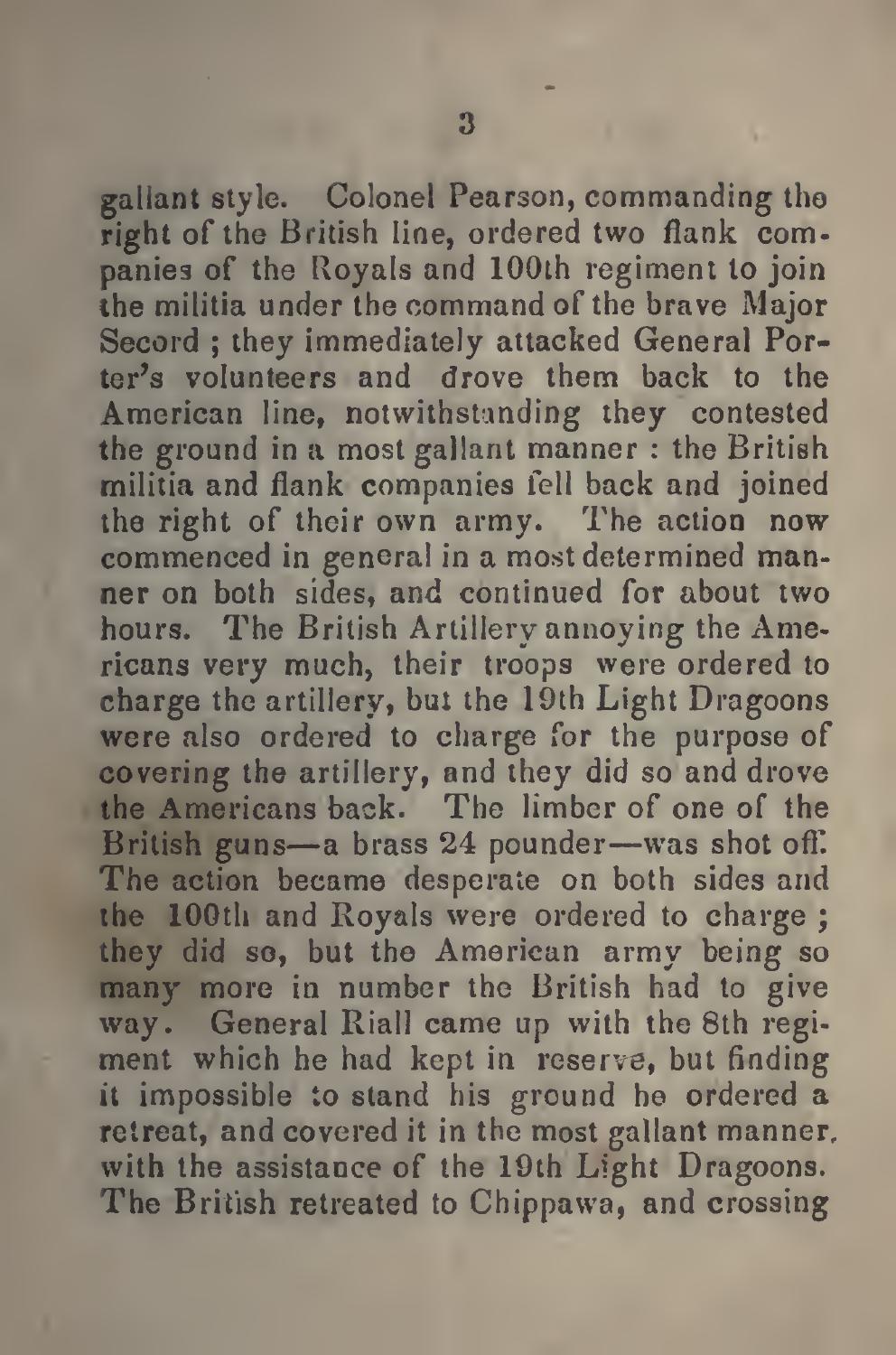gallant style. Colonel Pearson, commanding the right of the British line, ordered two flank companieg of the Royals and 100th regiment to join the militia under the command of the brave Major Secord ; they immediately attacked General Porter's volunteers and drove them back to the American line, notwithstanding they contested the ground in a most gallant manner : the British militia and flank companies fell back and joined the right of their own army. The action now commenced in general in a most determined manner on both sides, and continued for about two hours. The British Artillery annoying the Americans very much, their troops were ordered to charge the artillery, but the 19th Light Dragoons were also ordered to charge for the purpose of covering the artillery, and they did so and drove the Americans back. The limber of one of the<br>British guns—a brass 24 pounder—was shot off. The action became desperate on both sides and the 100th and Royals were ordered to charge ; they did so, but the American army being so many more in number the British had to give way. General Riall came up with the 8th regiment which he had kept in reserve, but finding it impossible to stand his ground he ordered a retreat, and covered it in the most gallant manner, with the assistance of the 19th Light Dragoons. The British retreated to Chippawa, and crossing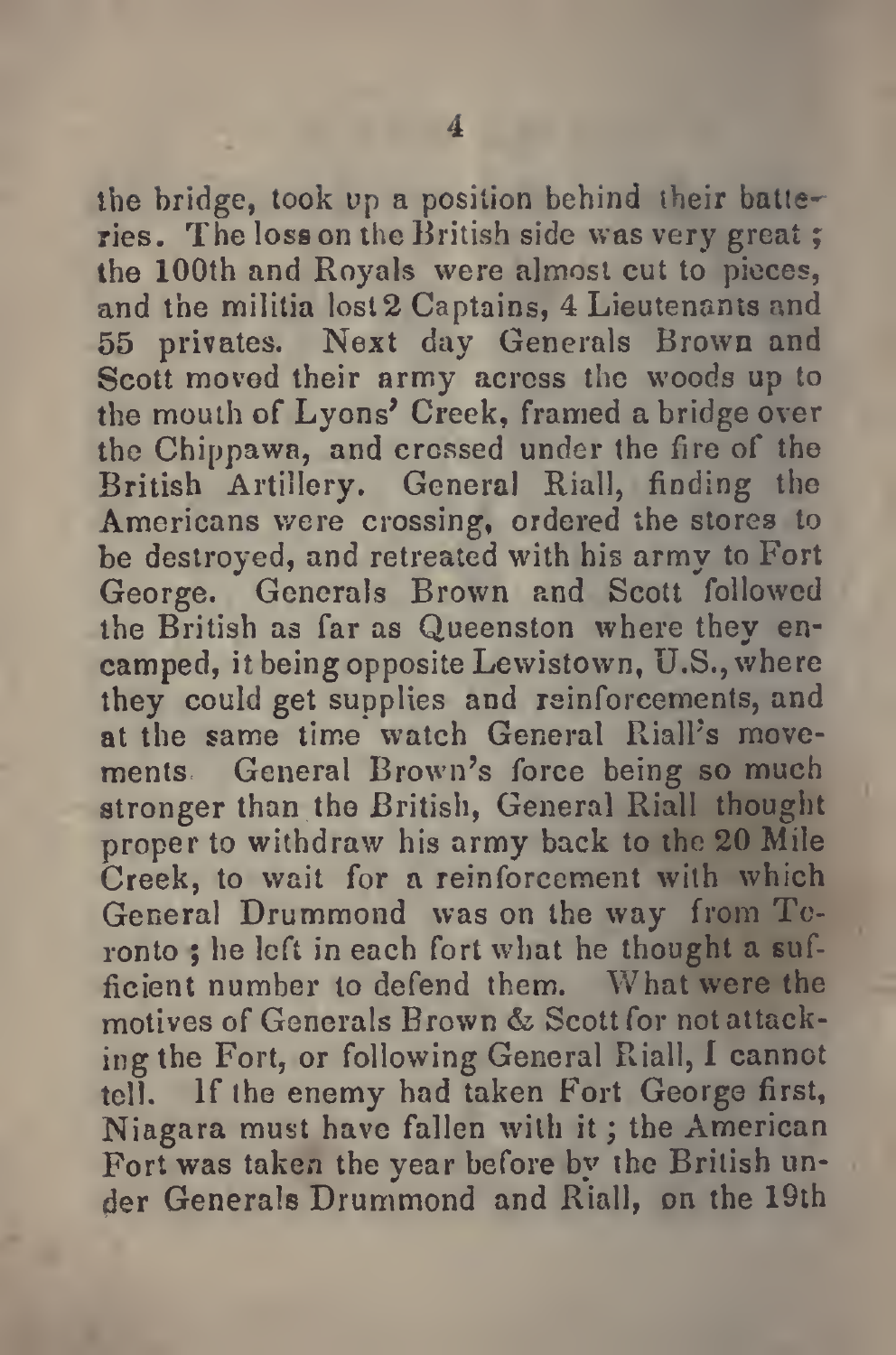the bridge, took up a position behind their batteries. The loss on the British side was very great; the 100th and Royals were almost cut to pieces, and the militia lost 2 Captains, 4 Lieutenanis and 55 privates. Next day Generals Brown and Scott moved their army across the woods up to the mouth of Lyons' Creek, framed a bridge over the Chippawa, and crossed under the fire of the British Artillery. General Riall, finding the Americans were crossing, ordered the stores to be destroyed, and retreated with his army to Fort George. Generals Brown and Scott followed the British as far as Queenston where they en camped, it being opposite Lewistown, U.S., where they could get supplies and reinforcements, and at the same time watch General Riall's movements. General Brown's force being so much stronger than the British, General Riall thought proper to withdraw his army back to the 20 Mile Creek, to wait for a reinforcement with which General Drummond was on the way from Toronto ; he left in each fort what he thought a suf ficient number to defend them. What were the motives of Generals Brown & Scott for not attack ing the Fort, or following General Riall, <sup>1</sup> cannot tell. If the enemy had taken Fort George first, Niagara must have fallen with it ; the American Fort was taken the year before by the British un der Generals Drummond and Riall, on the 19th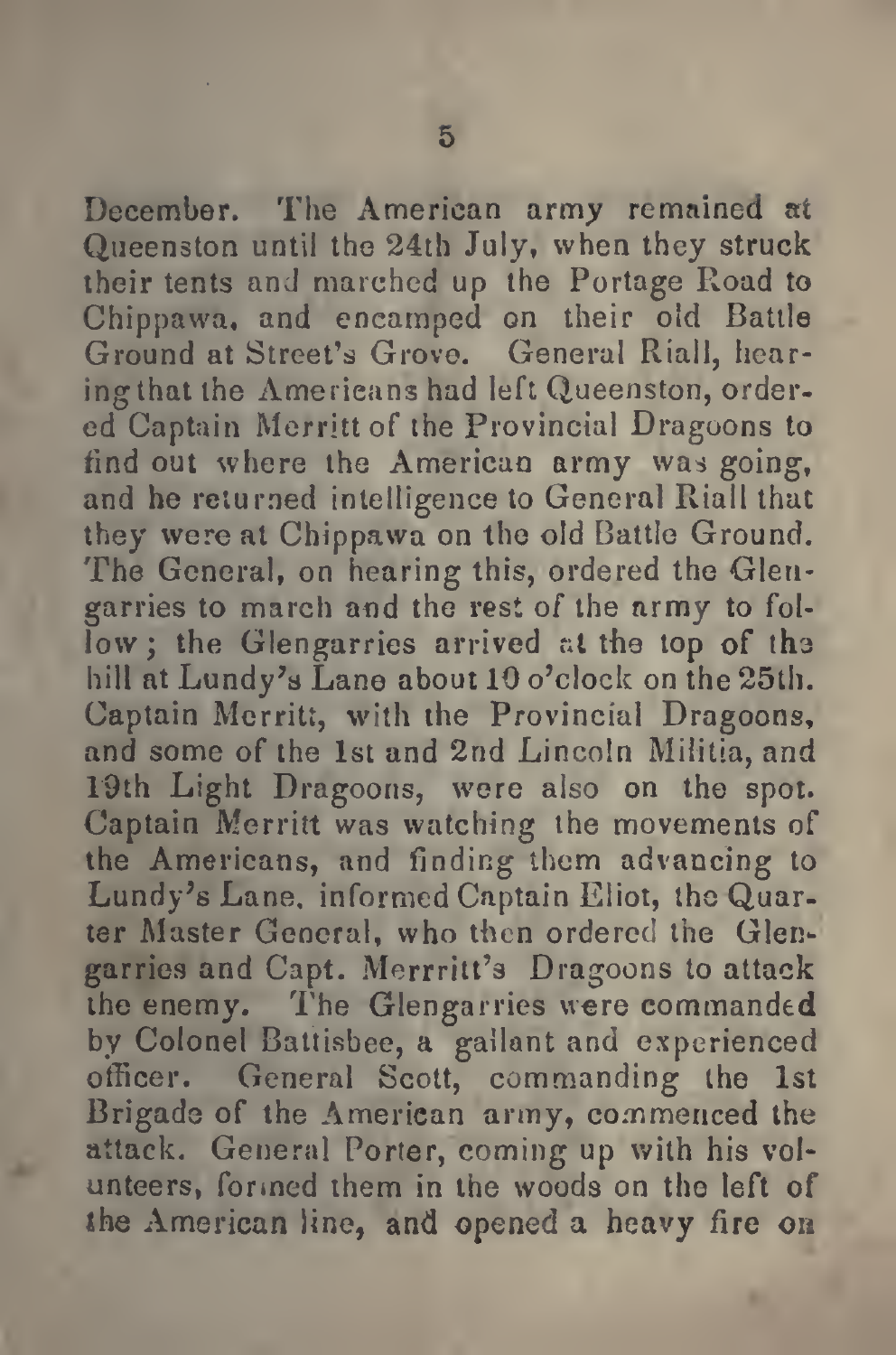December. The American army remained at Queenston until the 24ih Jaly, when they struck their tents and marched up the Portage Road toChippawa, and encamped on their old Battle Ground at Street's Grove. General Rial!, licar ing that the Americans had left Queenston, ordered Captain Merritt of the Provincial Dragoons to find out where the American army was going, and he returned intelligence to General Riall that they were at Chippawa on the old Battle Ground. The General, on hearing this, ordered the Glengarries to march and the rest of the army to follow; the Glengarries arrived at the top of the hill at Lundy's Lane about 10 o'clock on the 25th. Captain Merritt, with the Provincial Dragoons, and some of the 1st and 2nd Lincoln Militia, and 19th Light Dragoons, were also on the spot. Captain Merritt was watching the movements of the Americans, and finding them advancing to Lundy's Lane, informed Captain Eliot, the Quarter Master General, who then ordered the Glengarries and Capt. Merrritt's Dragoons to attack the enemy. The Glengarries were commanded by Colonel Battisbee, a gallant and experienced officer. General Scott, commanding the 1st Brigade of the American army, commenced the attack. General Porter, coming up with his vol unteers, formed them in the woods on the left of the American line, and opened a heavy fire on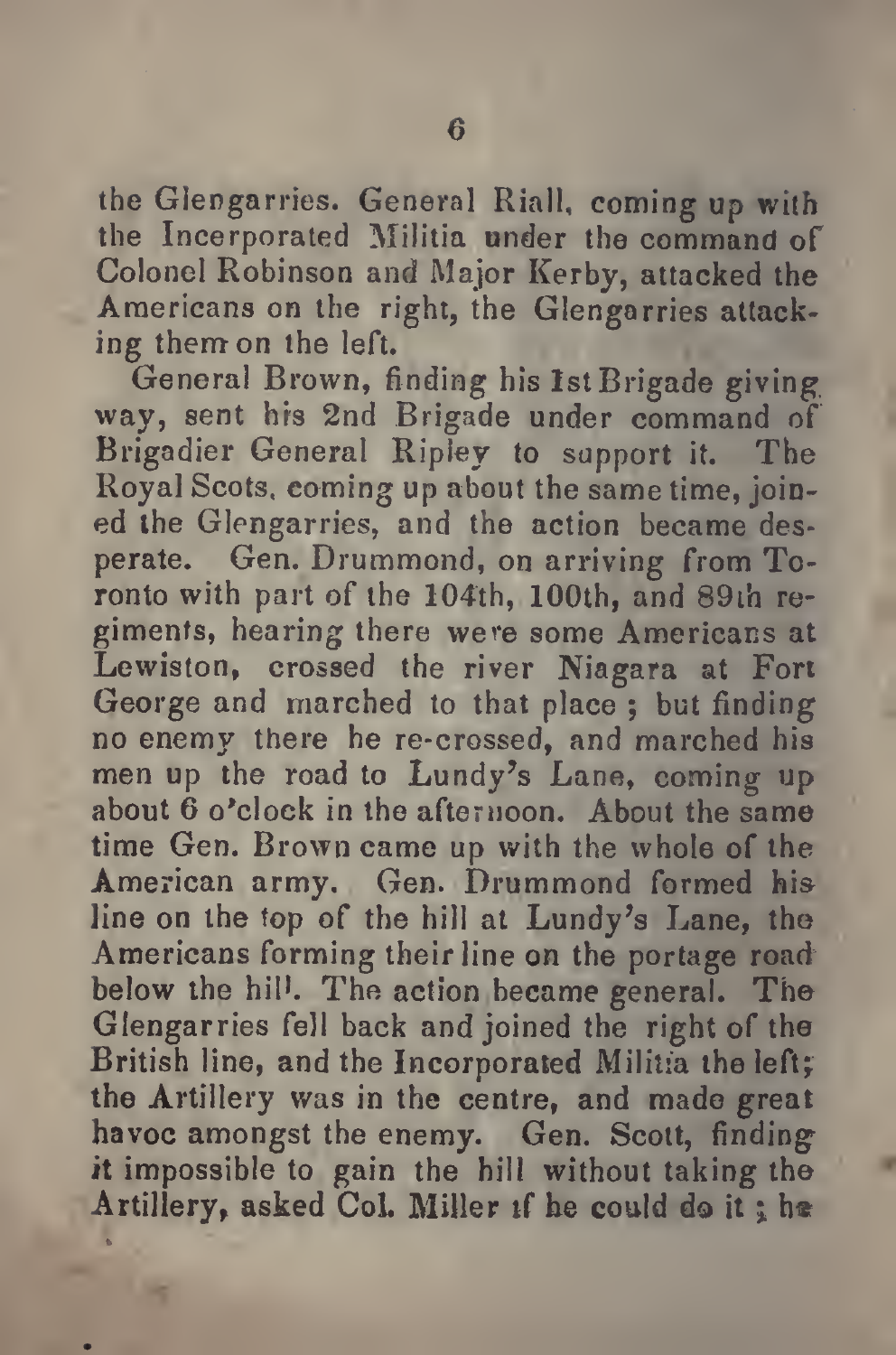the Glengarries. General Riall, coming up with the Incerporated Militia under the command of Colonel Robinson and Major Kerby, attacked the Americans on the right, the Glengarries attack ing them on the left.

General Brown, finding his 1st Brigade giving; way, sent his 2nd Brigade under command of Brigadier General Ripley to support it. The Royal Scots, coming up about the same time, join ed the Glengarries, and the action became des perate. Gen. Drummond, on arriving from Toronto with part of the 104th, 100th, and 89ih re giments, hearing there were some Americans at Lewiston, crossed the river Niagara at Fort George and marched to that place ; but finding no enemy there he re-crossed, and marched his men up the road to Lundy's Lane, coming up about 6 o'clock in the afternoon. About the same time Gen. Brown came up with the whole of the American army. Gen. Drummond formed hi» line on the top of the hill at Lundy's Lane, the Americans forming their line on the portage road below the hill. The action became general. The Glengarries fell back and joined the right of the British line, and the Incorporated Militia the left; the Artillery was in the centre, and made great havoc amongst the enemy. Gen. Scott, finding it impossible to gain the hill without taking the Artillery, asked Col. Miller if he could do it; he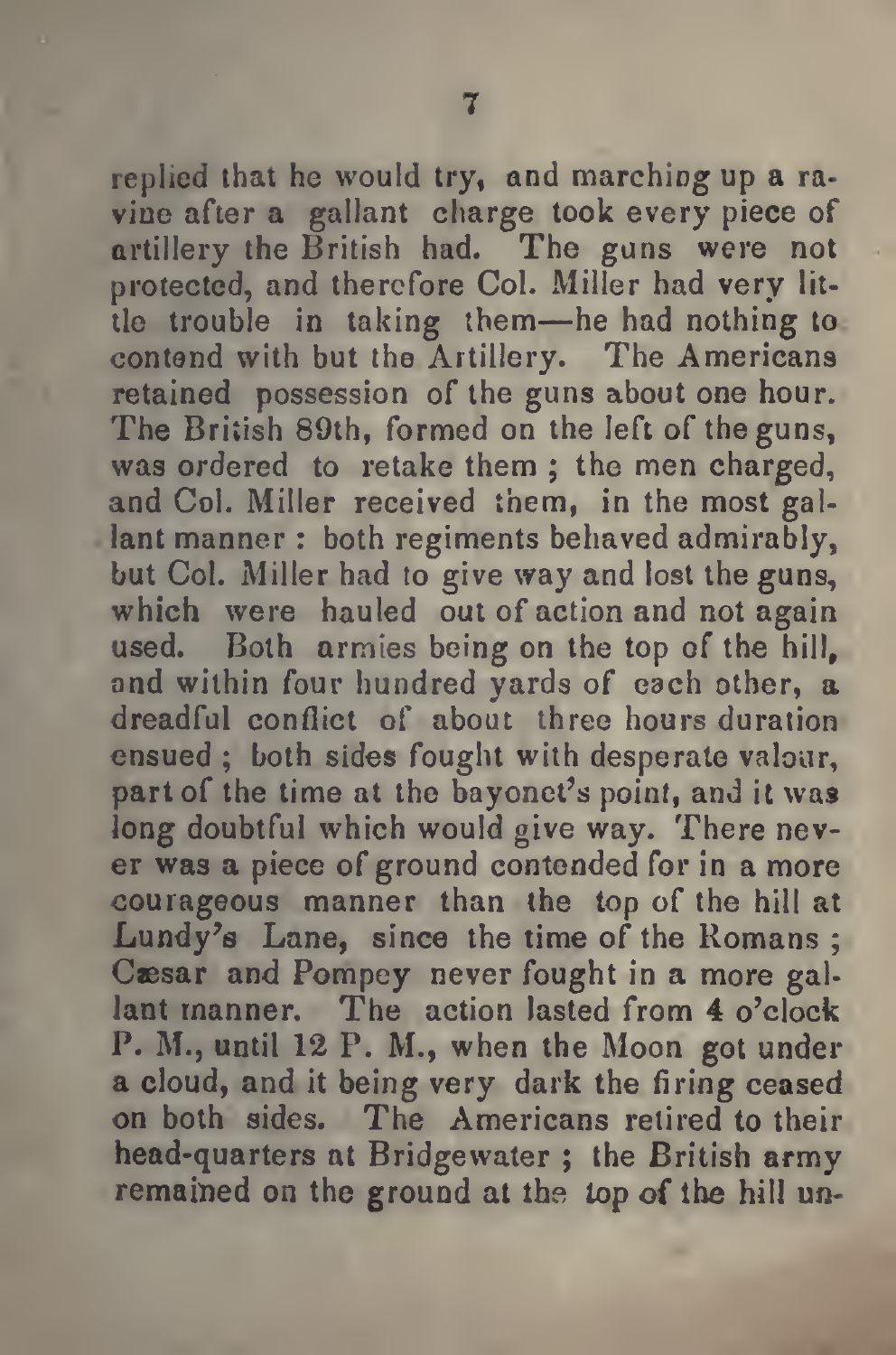replied that he would try, and marching up a ravine after a gallant charge took every piece of artillery the British had. The guns were not protected, and therefore Col. Miller had very lit tle trouble in taking them—he had nothing to contend with but the Artillery. The Americans retained possession of the guns about one hour. The British 89th, formed on the left of the guns, was ordered to retake them ; the men charged, and Col. Miller received them, in the most gallant manner : both regiments behaved admirably, but Col. Miller had to give way and lost the guns, which were hauled out of action and not again used. Both armies being on the top of the hill, and within four hundred yards of each other, a dreadful conflict of about three hours duration ensued ; both sides fought with desperate valour, part of the time at the bayonet's point, and it was long doubtful which would give way. There never was a piece of ground contended for in a more courageous manner than the top of the hill at Lundy's Lane, since the time of the Romans ; Cæsar and Pompey never fought in a more gallant manner. The action lasted from 4 o'clock P. M., until 12 P. M., when the Moon got under a cloud, and it being very dark the firing ceased on both sides. The Americans retired to their head-quarters at Bridgewater ; the British army remained on the ground at the top of the hill un-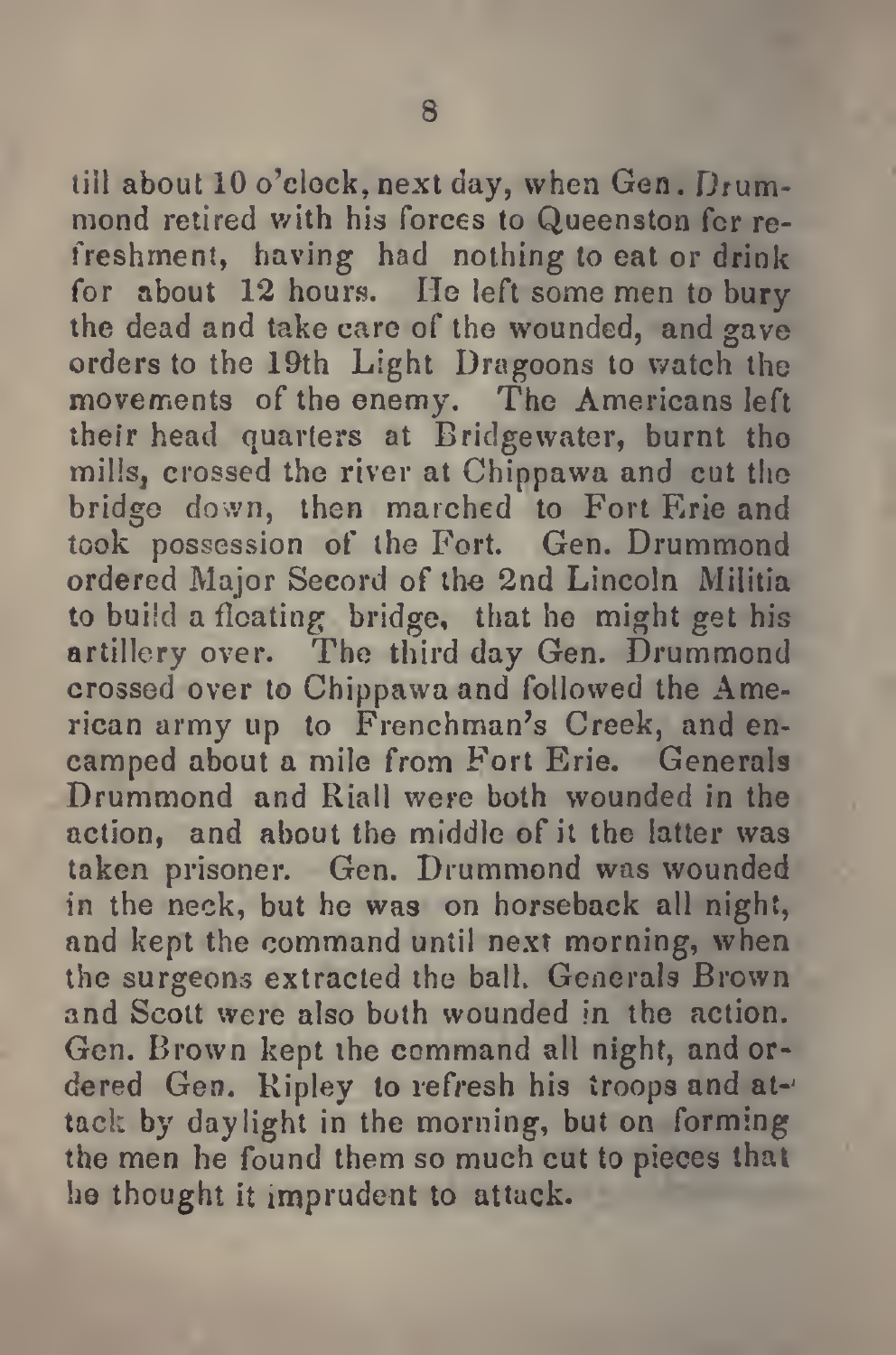till about  $10$  o'clock, next day, when Gen. Drummond retired with his forces to Queenston for refreshment, having had nothing to eat or drink for about 12 hours. He left some men to bury the dead and take care of the wounded, and gave orders to the 19th Light Dragoons to watch the movements of the enemy. The Americans left their head quarters at Bridgewater, burnt the mills, crossed the river at Chippawa and cut the bridge dovvn, then marched to Fort Erie and took possession of the Fort. Gen. Drummond ordered Major Secord of the 2nd Lincoln Militia to build a floating bridge, that ho might get his artillery over. The third day Gen. Drummond crossed over to Chippawa and followed the American army up to Frenchman's Creek, and en camped about a mile from Fort Erie. Generals Drummond and Riall were both wounded in the action, and about the middle of it the latter was taken prisoner. Gen. Drummond was wounded in the neck, but he was on horseback all night, and kept the command until next morning, when the surgeons extracted the ball. Generals Brown and Scott were also both wounded in the action. Gen. Brown kept the command all night, and or dered Gen. Ripley to refresh his troops and attack by daylight in the morning, but on forming the men he found them so much cut to pieces thai he thought it imprudent to attack.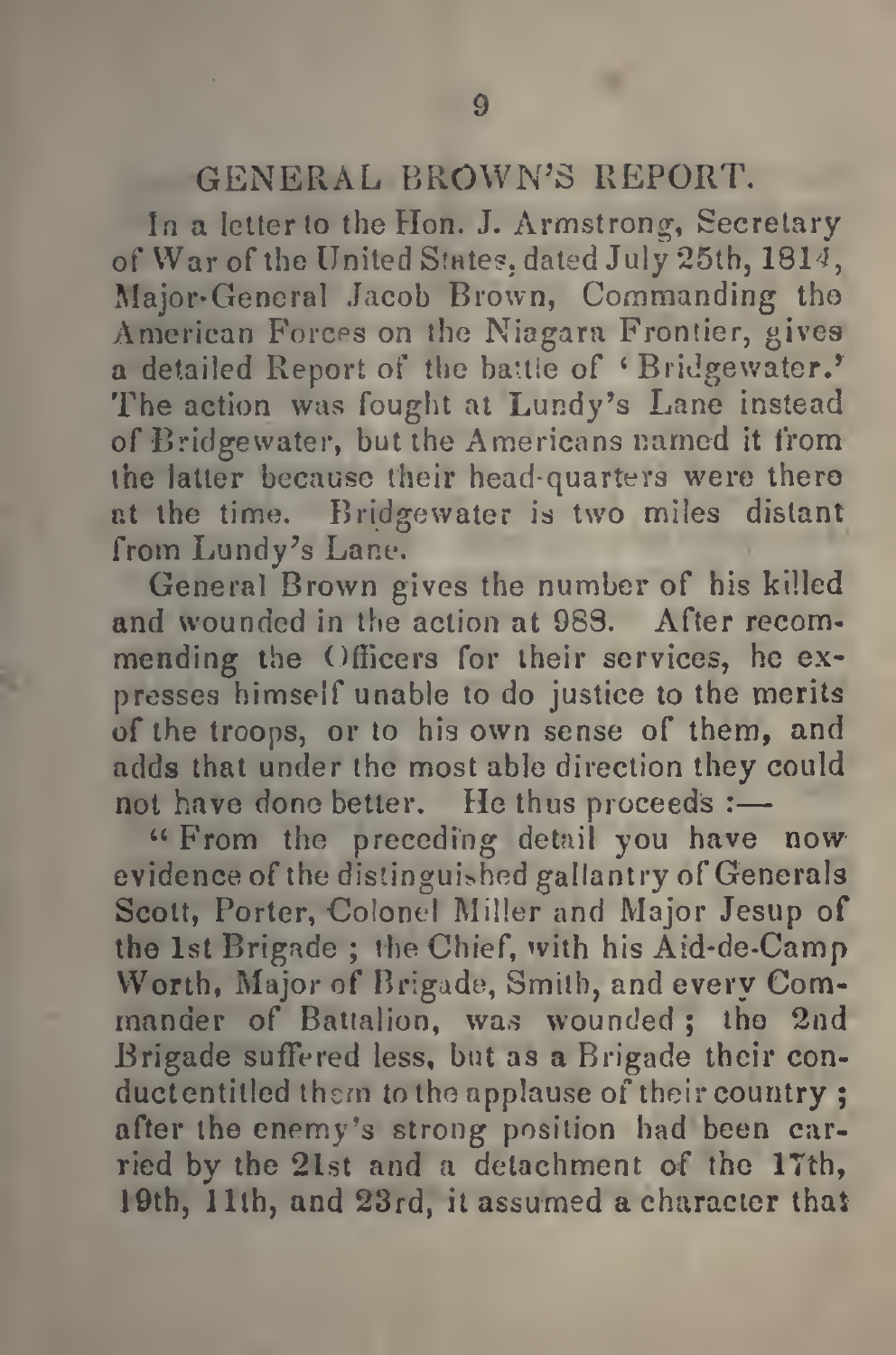#### GENERAL BROWN'S REPORT.

In a letter to the Hon. J. Armstrong, Secretary of War of the United States, dated July 25th, 1814, Major-General Jacob Brown, Commanding the American Forces on the Niagara Frontier, gives a detailed Report of the battle of 'Bridgewater.' The action was fought at Lundy's Lane instead of Bridgewater, but the Americans named it from the latter because their head-quarters were there at the time. Bridgewater is two miles distant from Lundy's Lane.

General Brown gives the number of his killed and wounded in the action at 983. After recom mending the Officers for their services, he expresses himself unable to do justice to the merits of the troops, or to his own sense of them, and adds that under the most able direction they could not have dono better. He thus proceeds :

" From the preceding detail you have now evidence of the distinguished gallantry of Generals Scott, Porter, Colonel Miller and Major Jesup of the 1st Brigade ; the Chief, with his Aid-de-Camp Worth, Major of Brigade, Smith, and every Commander of Battalion, was wounded ; the 2nd Brigade suffered less, but as a Brigade their conductentitled them to the applause of their country ; after the enemy's strong position had been carried by the 2lst and a detachment of tho ITth, 19th, 11th, and 23rd, it assumed a character that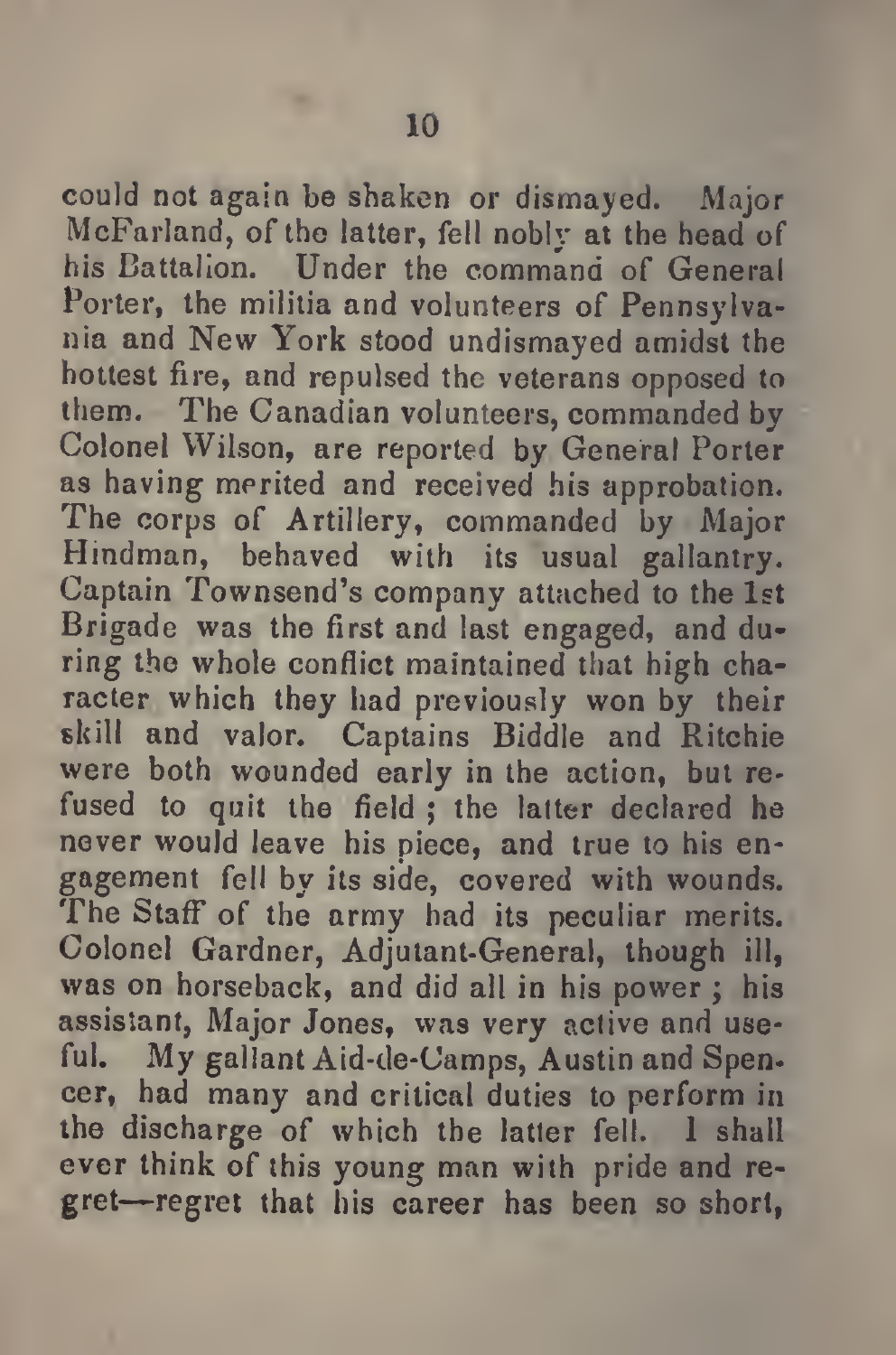could not again be shaken or dismayed. Major McFarland, of the latter, fell nobly at the head of his Battalion. Under the command of General Porter, the militia and volunteers of Pennsylvania and New York stood undismayed amidst the hottest fire, and repulsed the veterans opposed to them. The Canadian volunteers, commanded by Colonel Wilson, are reported by General Porter as having merited and received his approbation. The corps of Artillery, commanded by Major Hindman, behaved with its usual gallantry. Captain Townsend's company attached to the 1st Brigade was the first and last engaged, and during the whole conflict maintained that high character which they had previously won by their skill and valor. Captains Biddle and Ritchie were both wounded early in the action, but re fused to quit the field; the latter declared he never would leave his piece, and true to his en gagement fell by its side, covered with wounds. The Staff of the army had its peculiar merits. Colonel Gardner, Adjutant-General, though ill, was on horseback, and did all in his power ; his assistant, Major Jones, was very active and useful. My gallant Aid-de-Camps, Austin and Spencer, had many and critical duties to perform in the discharge of which the latter fell. I shall ever think of this young man with pride and re gret—regret that his career has been so short,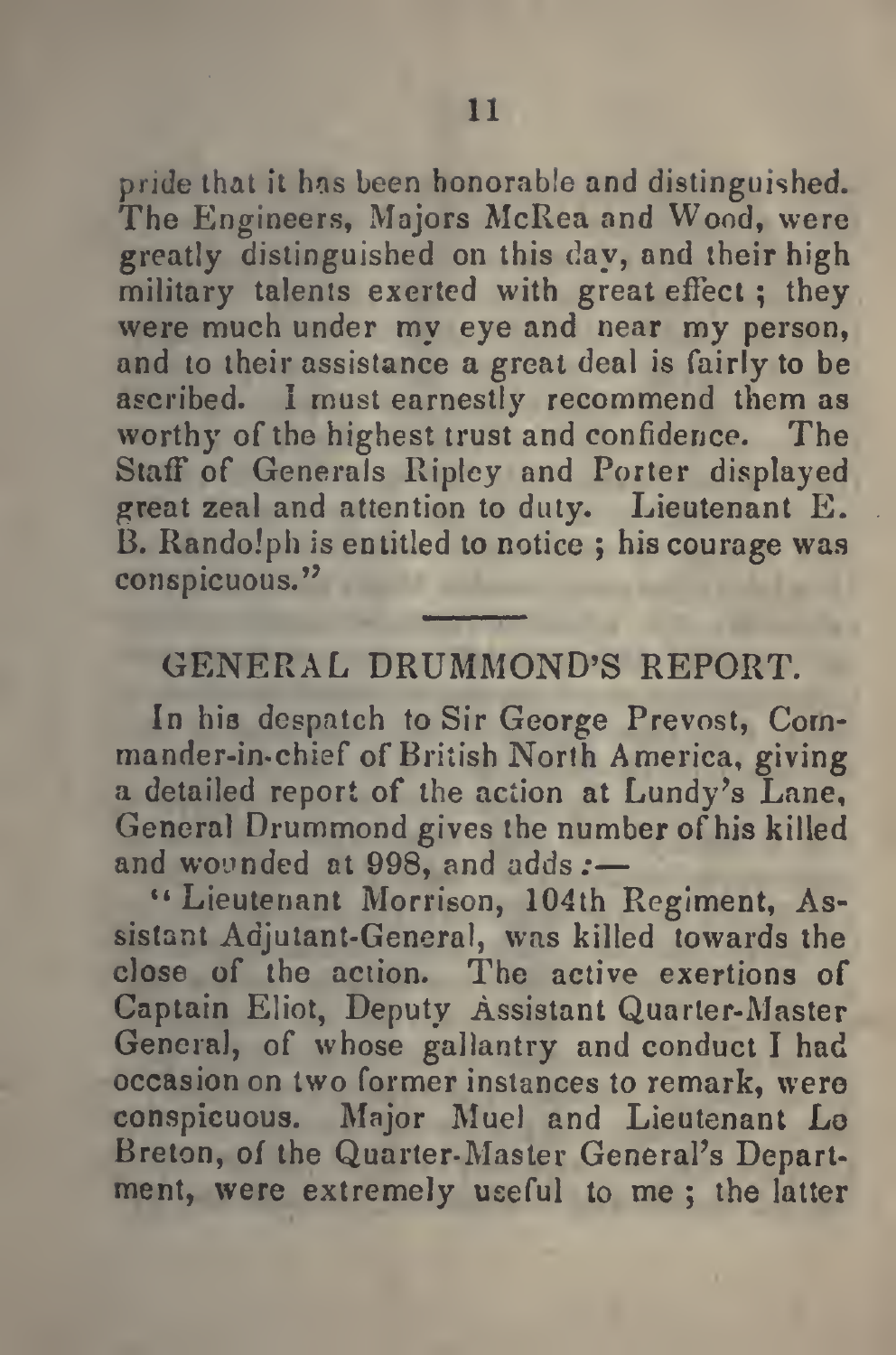pride that it has been honorable and distinguished. The Engineers, Majors McRea and Wood, were greatly distinguished on this day, and their high military talents exerted with great effect ; they were much under my eye and near my person, and to their assistance a great deal is fairly to be ascribed. I must earnestly recommend them as worthy of the highest trust and confidence. The Staff of Generals Ripley and Porter displayed great zeal and attention to duty. Lieutenant E. B. Randolph is entitled to notice; his courage was conspicuous."

#### GENERAL DRUMMOND'S REPORT.

In his despatch to Sir George Prevost, Commander-in-chief of British North America, giving a detailed report of the action at Lundy's Lane, General Drummond gives the number of his killed and wounded at 998, and adds:-

\*\* Lieutenant Morrison, 104th Regiment, Assistant Adjutant-General, was killed towards the close of the action. The active exertions of Captain Eliot, Deputy Assistant Quarter-Master General, of whose gallantry and conduct <sup>I</sup> had occasion on two former instances to remark, were conspicuous. Major Muel and Lieutenant Lo Breton, of the Quarter-Master General's Department, were extremely useful to me ; the latter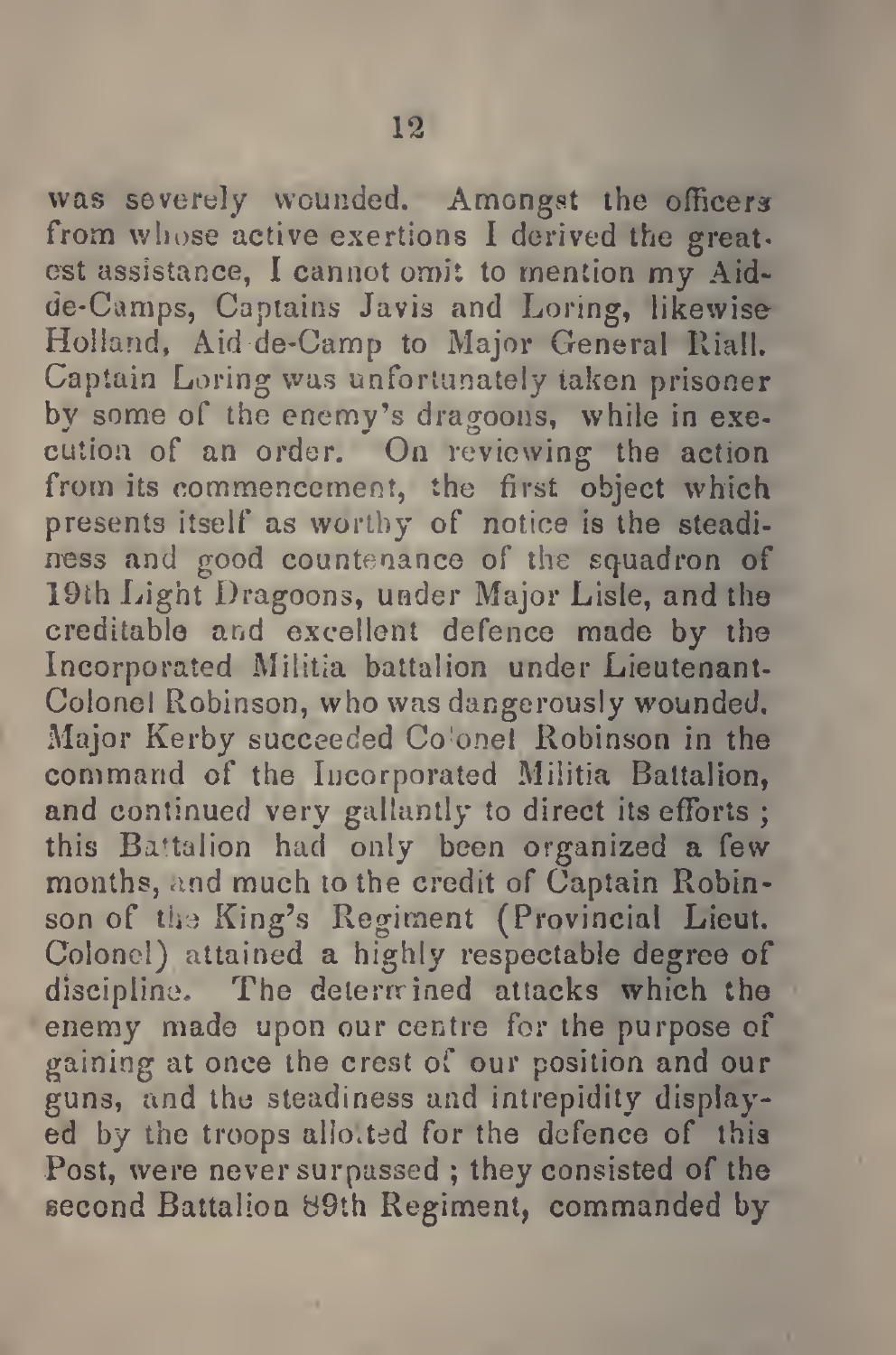was severely wounded. Amongst the officers from whose active exertions I derived the great. est assistance, I cannot omit to mention my Aidde-Camps, Captains Javis and Loring, likewise Holland, Aid de-Camp to Major General Riall. Captain Loring was unfortunately taken prisoner by some of the enemy's dragoons, while in execution of an order. On reviewing the action from its commencement, the first object which presents itself as worthy of notice is the steadi ness and good countenance of the squadron of 19th Light Dragoons, under Major Lisle, and the creditable and excellent defence made by the Incorporated Militia battalion under Lieutenant- Colonel Robinson, who was dangerously wounded. Major Kerby succeeded Co'onel Robinson in the command of the Incorporated Militia Battalion, and continued very gallantly to direct its efforts ; this Battalion had only been organized a few months, and much to the credit of Captain Robinson of the King's Regiment (Provincial Lieut. Colonel) attained a highly respectable degree of discipline. The determined attacks which the enemy made upon our centre for the purpose of gaining at once the crest of our position and our guns, and the steadiness and intrepidity display ed by the troops aliolted for the defence of thia Post, were never surpassed ; they consisted of the second Battalion 89th Regiment, commanded by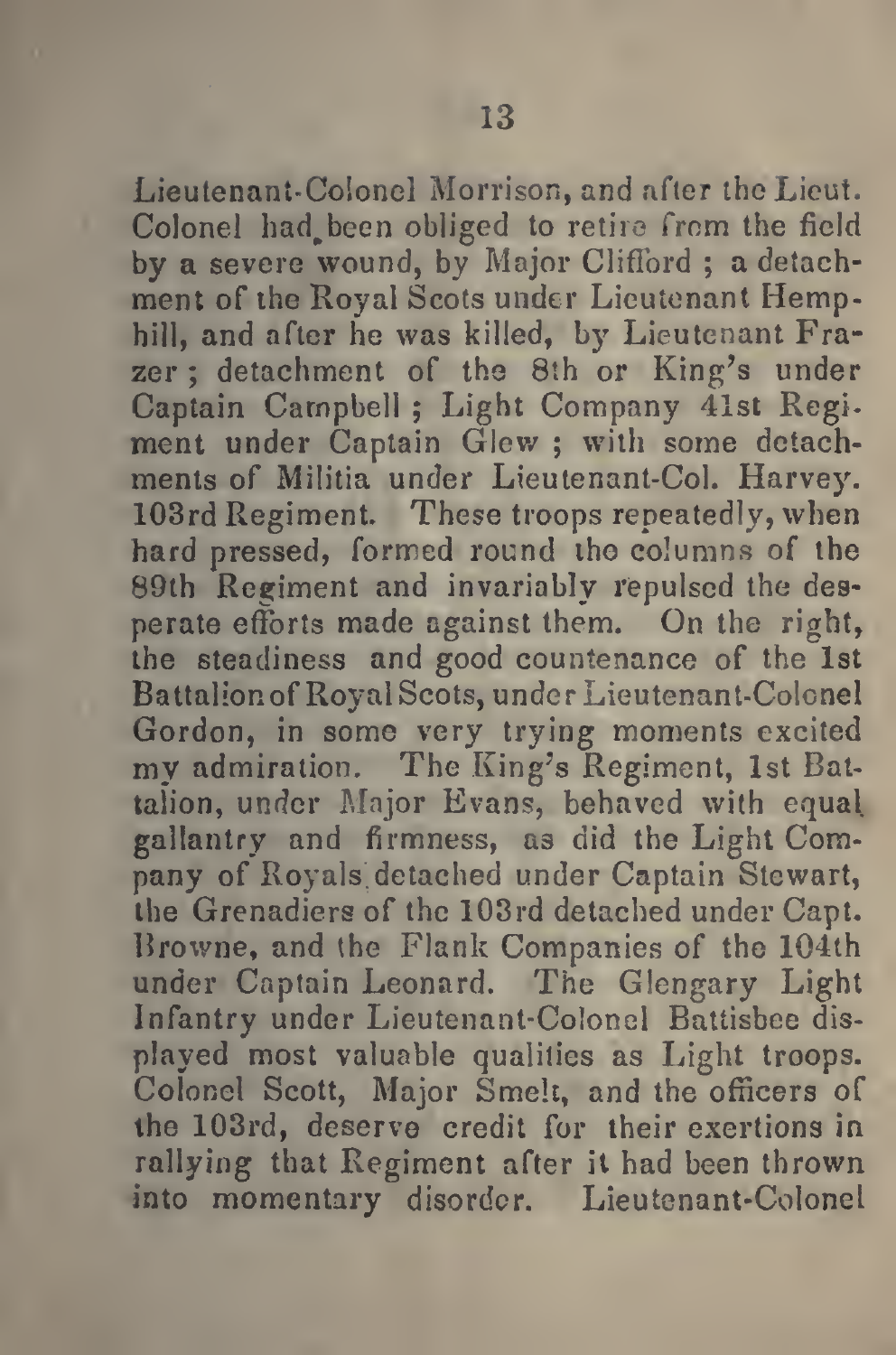Lieutenant-Colonel Morrison, and after the Lieut. Colonel had been obliged to retire from the field by a severe wound, by Major Clifford ; a detachment of ihe Royal Scots under Lieutenant Hemphill, and after he was killed, by Lieutenant Frazer ; detachment of the 8th or King's under Captain Campbell ; Light Company 41st Regiment under Captain Glew ; with some detach ments of Militia under Lieutenant-Col. Harvey. 103rd Regiment. These troops repeatedly, when hard pressed, formed round ihe columns of the 89th Regiment and invariably repulsed the des perate efforts made against them. On the right, the steadiness and good countenance of the 1st Battalionof Royal Scots, under Lieutenant-Colonel Gordon, in some very trying moments excited my admiration. The King's Regiment, 1st Battalion, under Major Evans, behaved with equal, gallantry and firmness, as did the Light Company of Royals. detached under Captain Stewart, the Grenadiers of the 103rd detached under Capt. Browne, and the Flank Companies of the 104th under Captain Leonard. The Glengary Light Infantry under Lieutenant-Colonel Battisbee displayed most valuable qualities as Light troops. Colonel Scott, Major Smelt, and the officers of the 103rd, deserve credit for their exertions in rallying that Regiment after it had been thrown into momentary disordor. Lieutenant-Colonel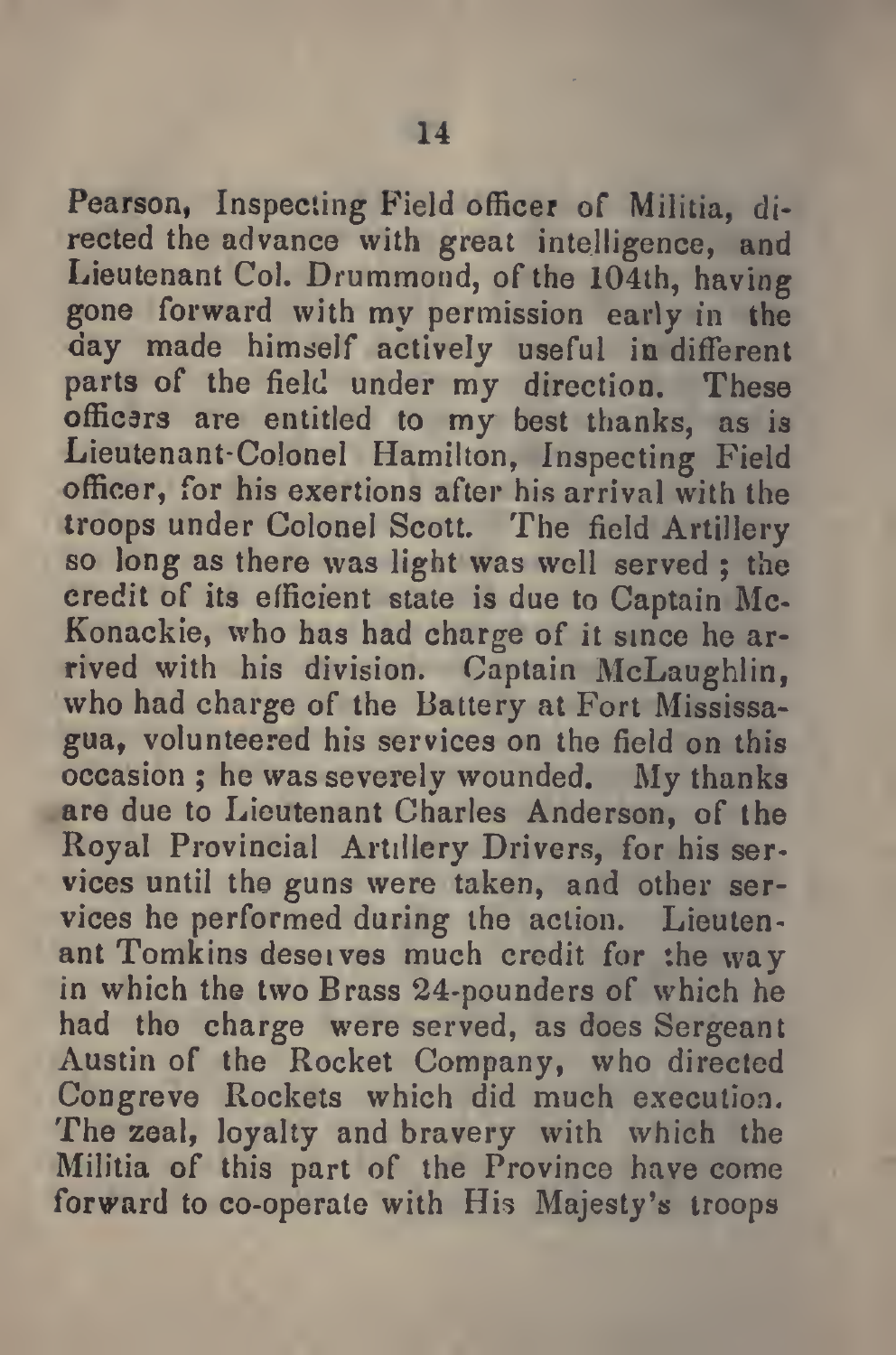Pearson, Inspecting Field officer of Militia, di rected the advance with great intelligence, and Lieutenant Col. Drummond, of the 104th, having gone forward with my permission early in the day made himself actively useful in different parts of the field under my direction. These officers are entitled to my best thanks, as is Lieutenant-Colonel Hamilton, Inspecting Field officer, for his exertions after his arrival with the troops under Colonel Scott. The field Artillery so long as there was light was well served ; the credit of its efficient state is due to Captain Mc-Konackie, who has had charge of it since he arrived with his division. Captain McLaughlin, who had charge of the Battery at Fort Mississa gua, volunteered his services on the field on this occasion ; he was severely wounded. My thanks are due to Lieutenant Charles Anderson, of the Royal Provincial Artillery Drivers, for his ser vices until the guns were taken, and other ser vices he performed during the action. Lieutenant Tomkins deseives much credit for the way in which the two Brass 24-pounders of which he had the charge were served, as does Sergeant Austin of the Rocket Company, who directed Congreve Rockets which did much execution. The zeal, loyalty and bravery with which the Militia of this part of the Province have come forward to co-operate with His Majesty's troops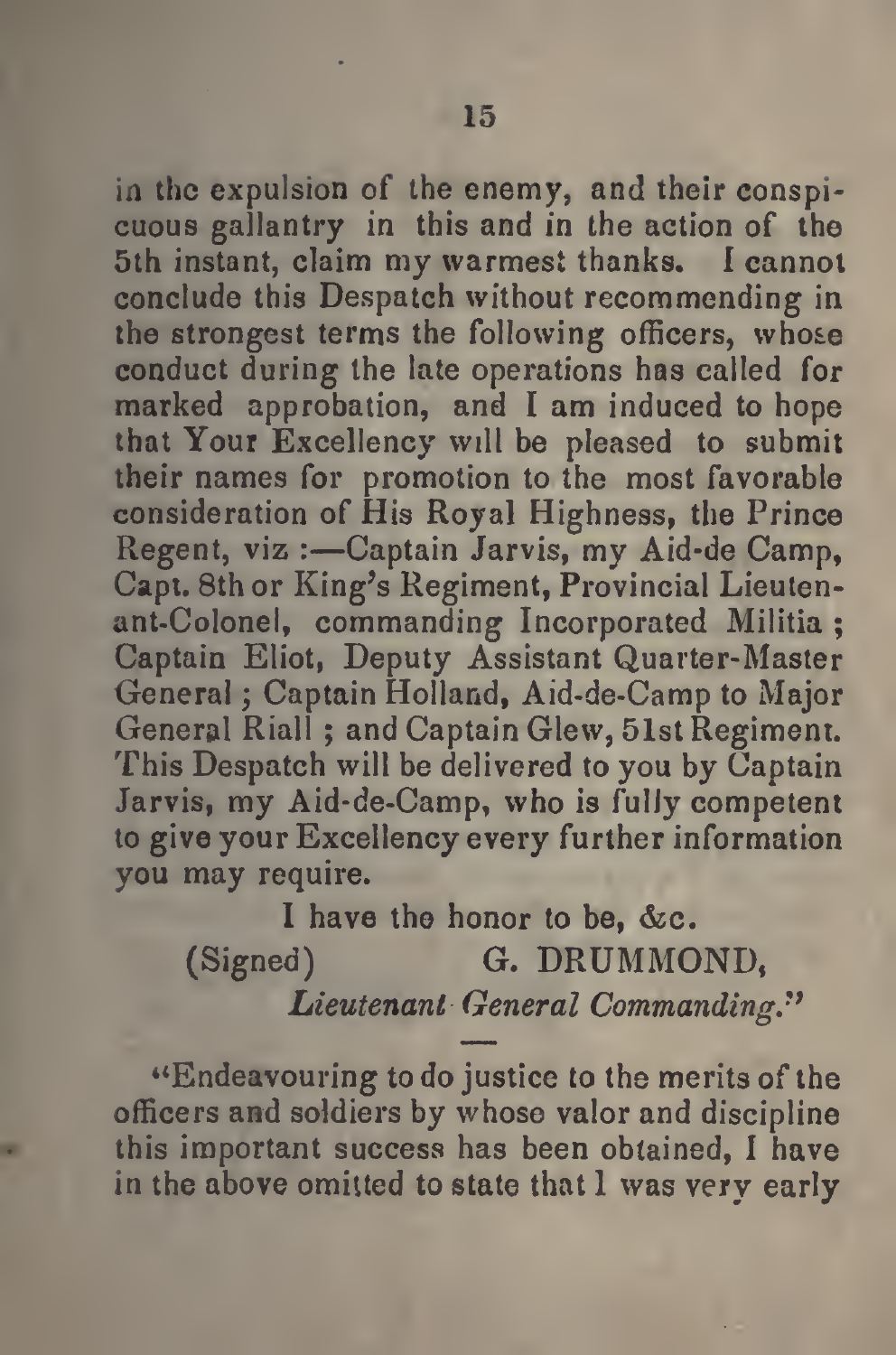in the expulsion of the enemy, and their conspi cuous gallantry in this and in the action of the 5th instant, claim my warmest thanks. <sup>I</sup> cannot conclude this Despatch without recommending in the strongest terms the following officers, whose conduct during the late operations has called for marked approbation, and <sup>I</sup> am induced to hope that Your Excellency will be pleased to submit their names for promotion to the most favorable consideration of His Royal Highness, the Prince Regent, viz :- Captain Jarvis, my Aid-de Camp, Capi. 8th or King's Regiment, Provincial Lieutenant-Colonel, commanding Incorporated Militia ; Captain Eliot, Deputy Assistant Quarter-Master General ; Captain Holland, Aid-de-Camp to Major General Riall ; and Captain Glew, 51st Regiment. This Despatch will be delivered to you by Captain Jarvis, my Aid-de-Camp, who is fuliy competent to give your Excellency every further information you may require.

<sup>I</sup> have the honor to be, &c. (Signed) G. DRUMMOND, Lieutenant General Commanding."

"Endeavouring to do justice to the merits of the officers and soldiers by whose valor and discipline this important success has been obtained, I have in the above omitted to state that I was very early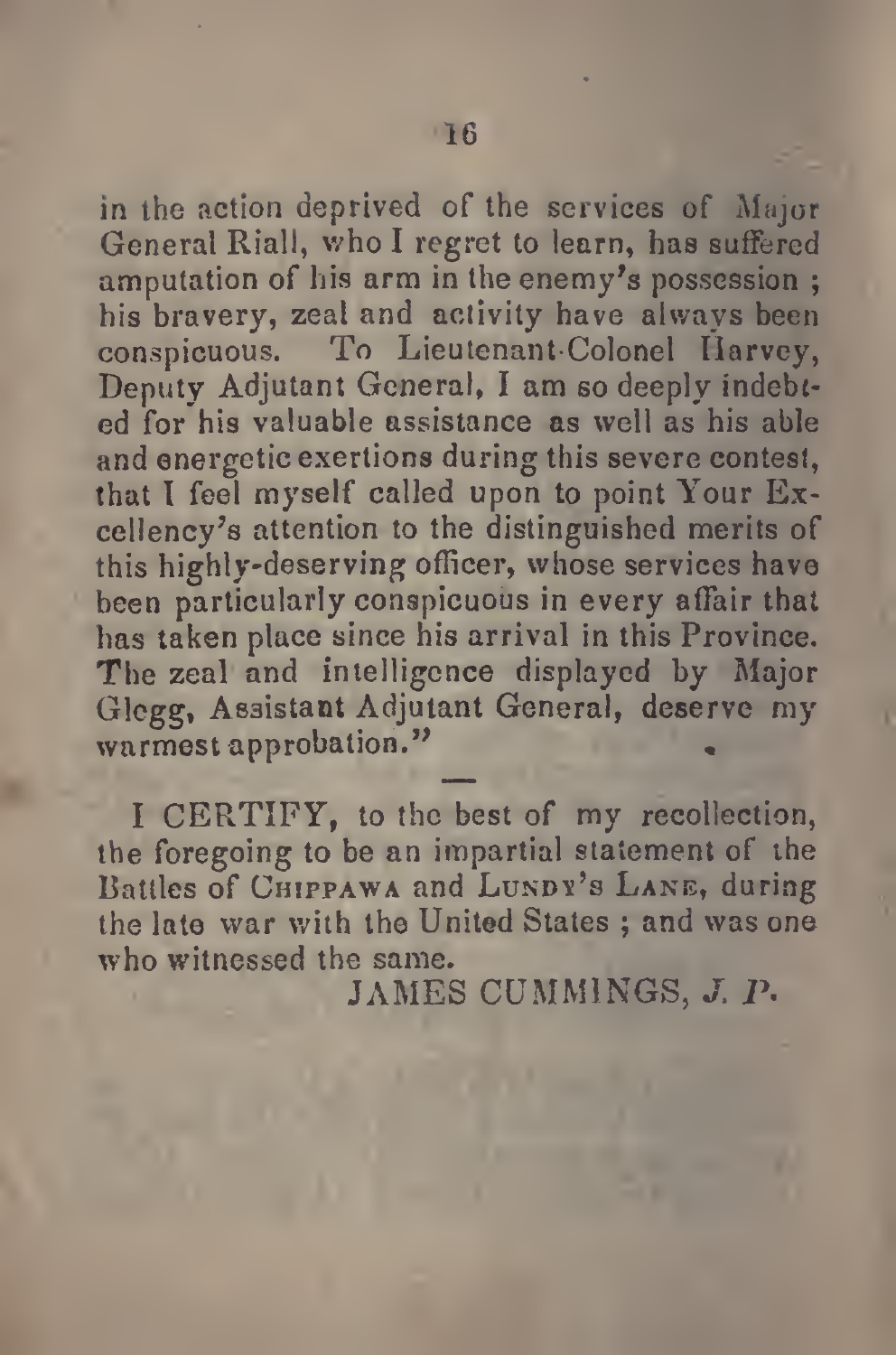in the action deprived of the services of Major General Rial!, who <sup>I</sup> regret to learn, has suffered amputation of his arm in the enemy's possession ; his bravery, zeal and activity have always been<br>conspicuous. To Lieutenant Colonel Harvey, To Lieutenant-Colonel Harvey, Deputy Adjutant General, <sup>I</sup> am sodeeply indebt ed for his valuable assistance as well as his able and energetic exertions during this severe contest, that <sup>I</sup> feel myself called upon to point Your Excellency's attention to the distinguished merits of this highly-deserving officer, whose services have been particularly conspicuous in every affair that has taken place since his arrival in this Province. The zeal and intelligence displayed by Major GIegg» Assistant Adjutant General, deserve my warmest approbation."

<sup>I</sup> CERTIFY, to the best of my recollection, the foregoing to be an impartial statement of the Battles of CHIPPAWA and LUNDY's LANE, during the late war with the United States; and was one<br>who witnessed the same.

JAMES CUMMINGS, J. P.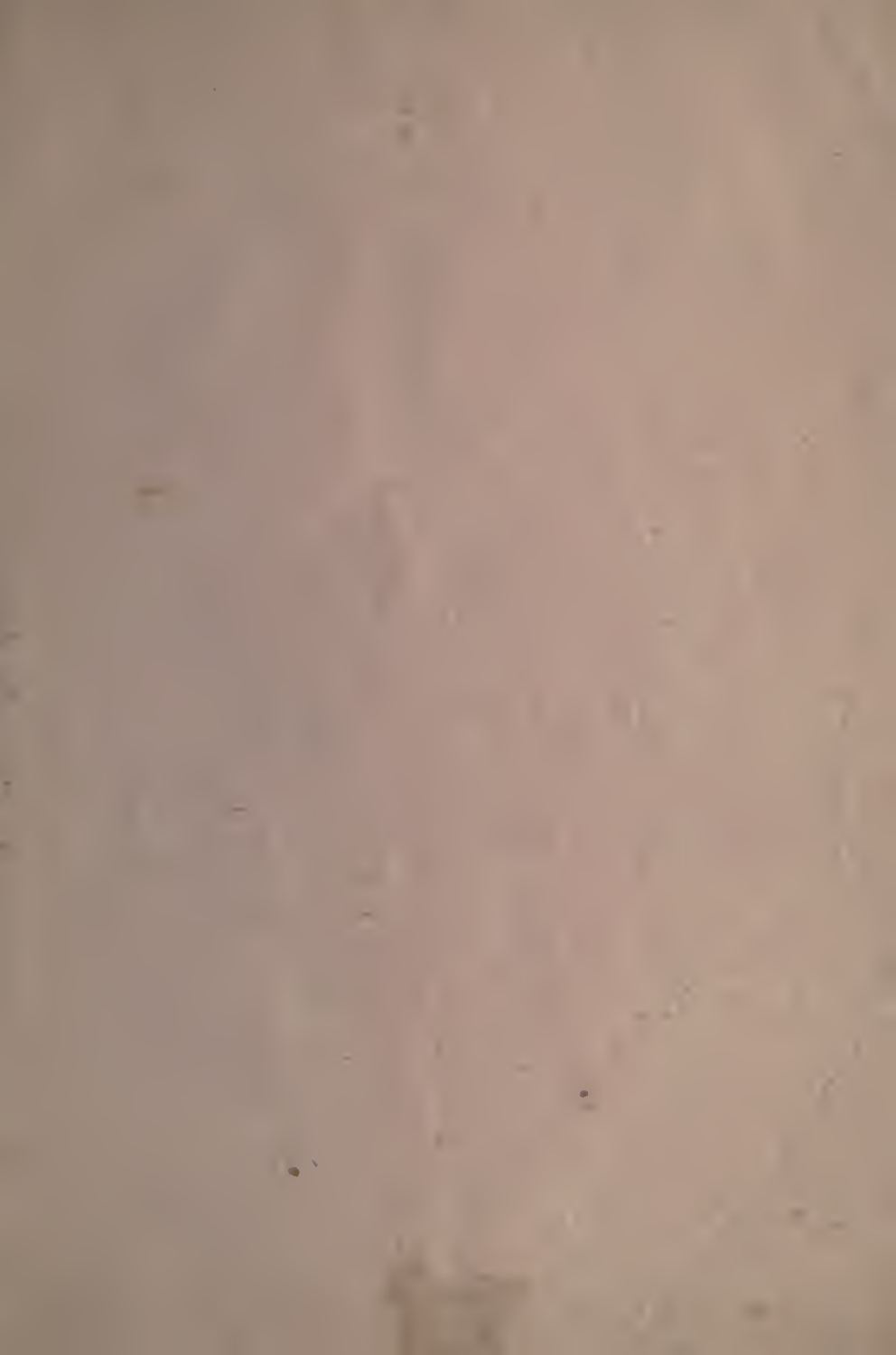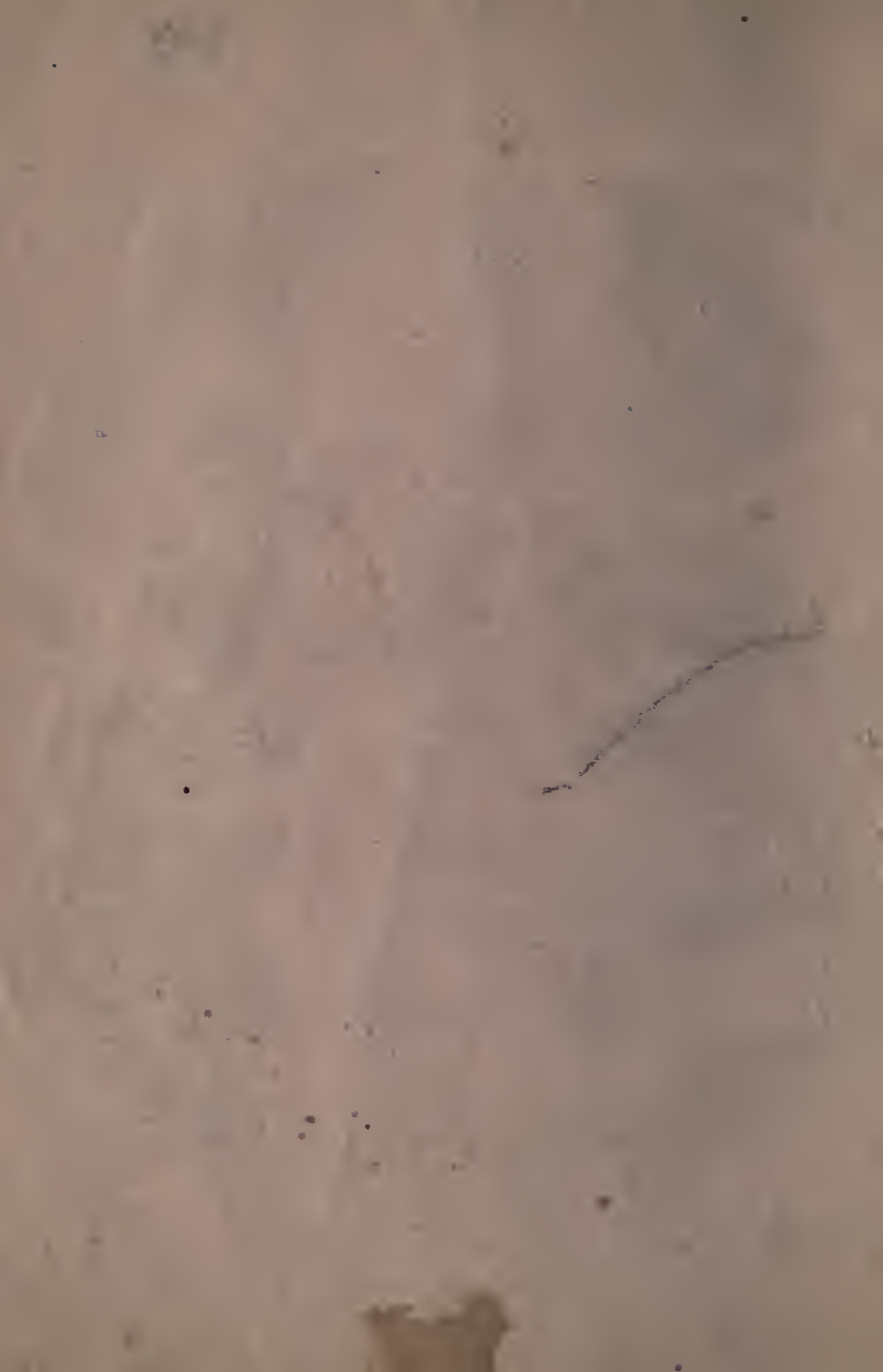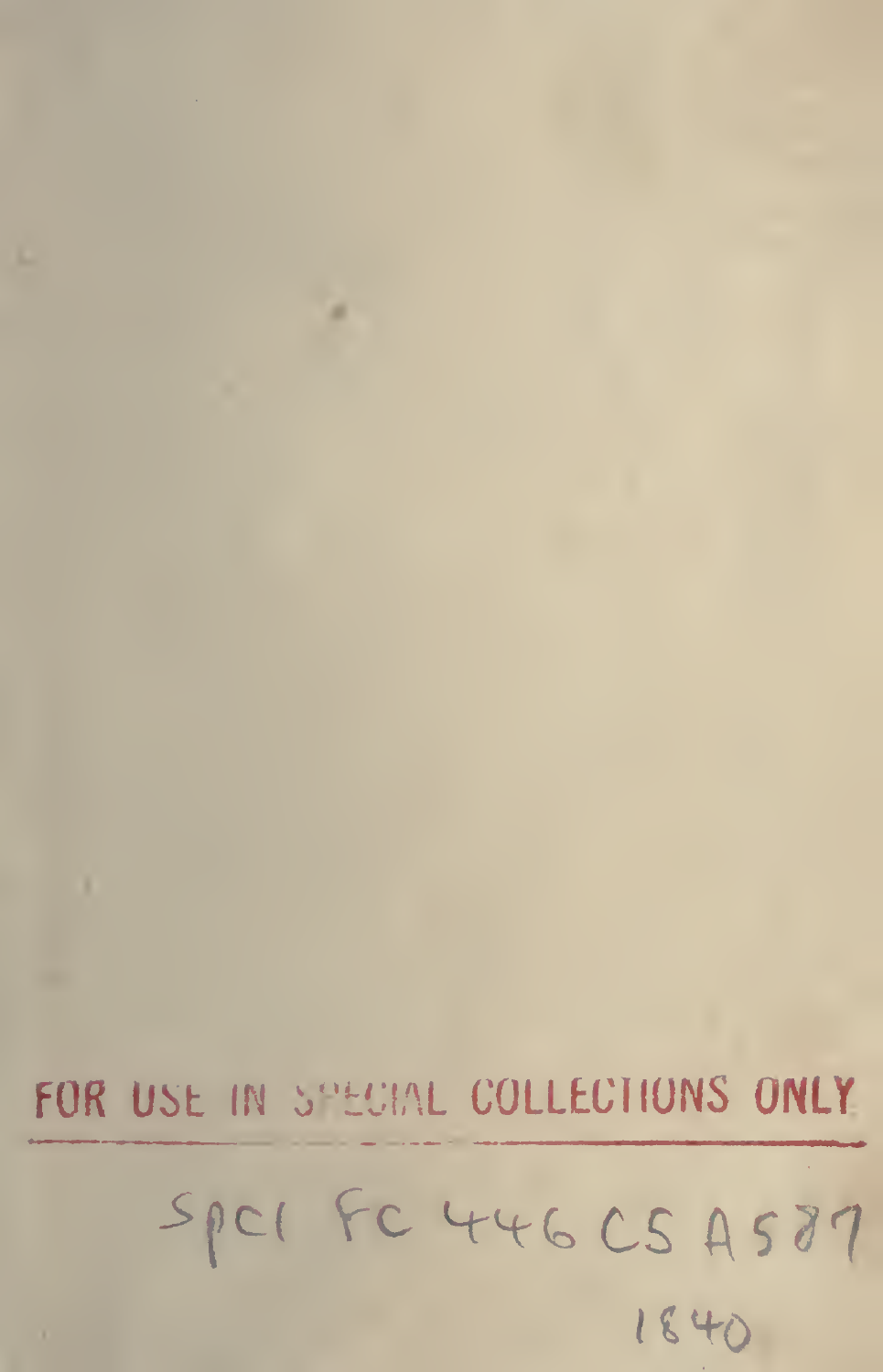### FOR USE IN SPECIAL COLLECTIONS ONLY

×

Spel FC 446 CS A587

1840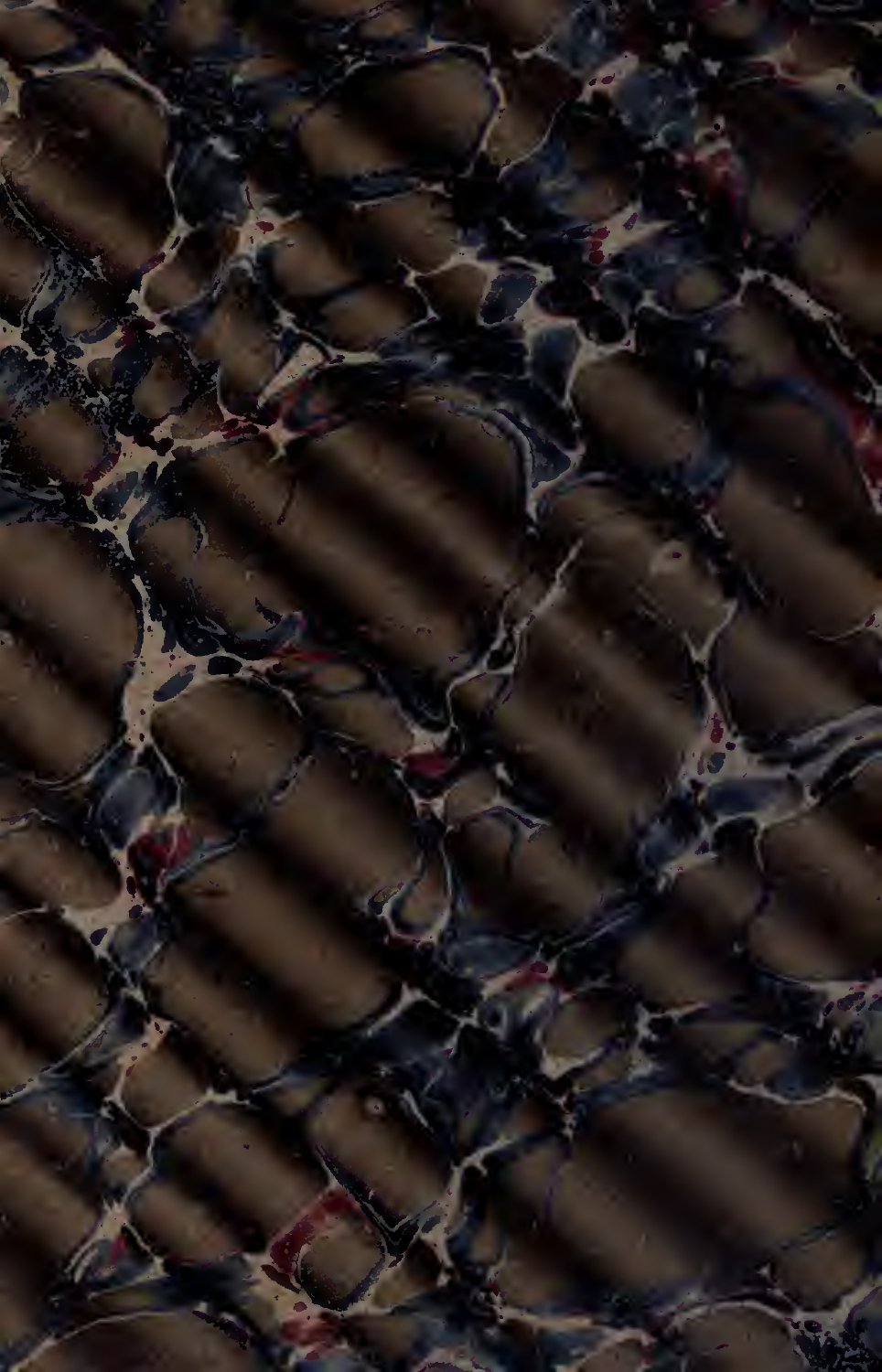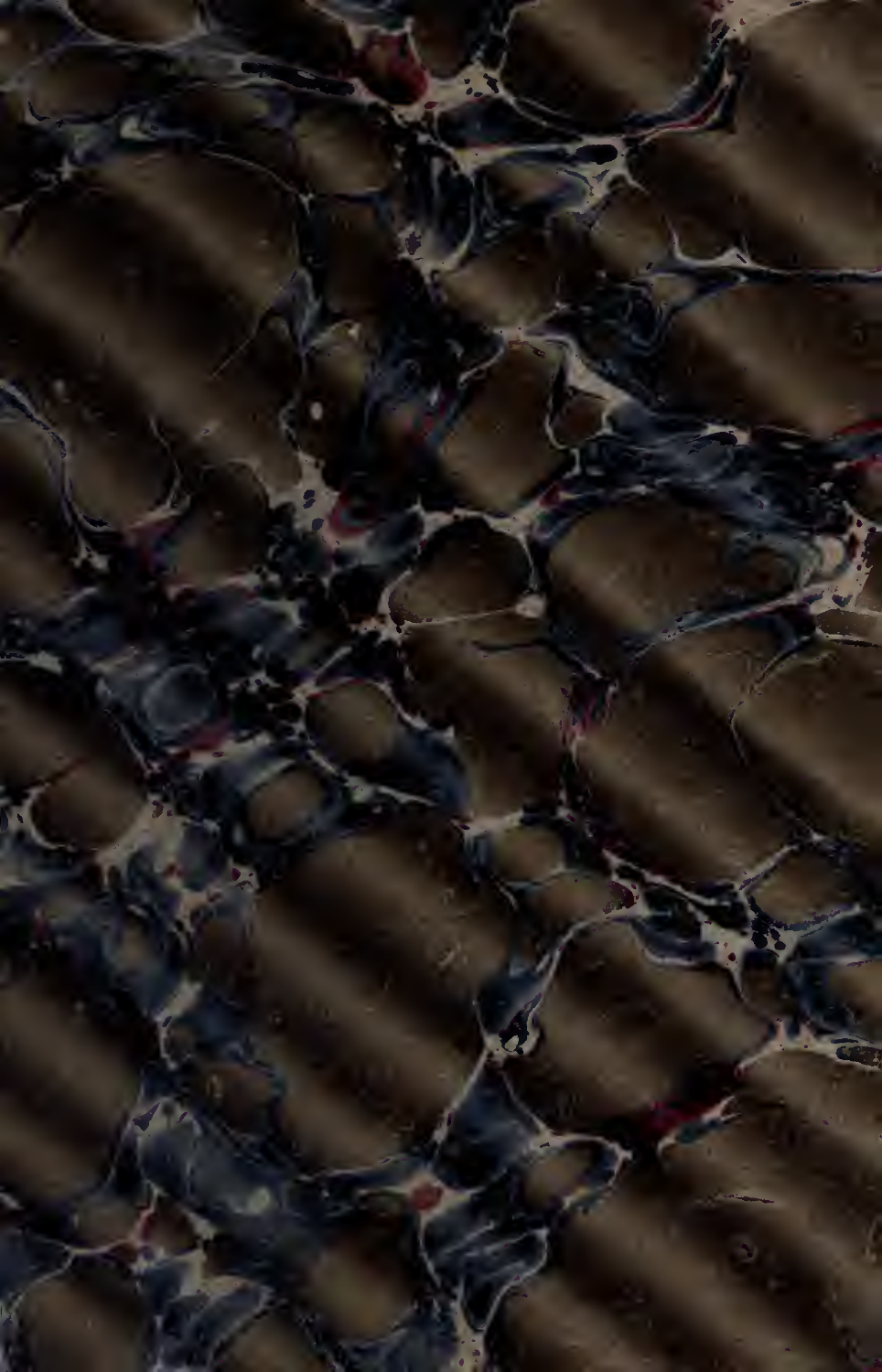